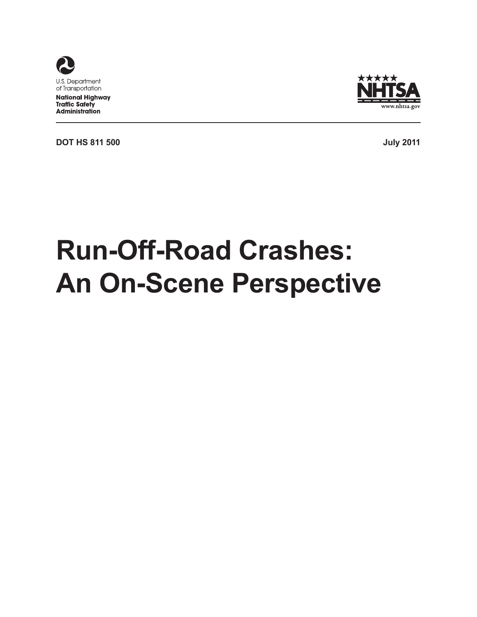



**DOT HS 811 500 July 2011**

# **Run-Off-Road Crashes: An On-Scene Perspective**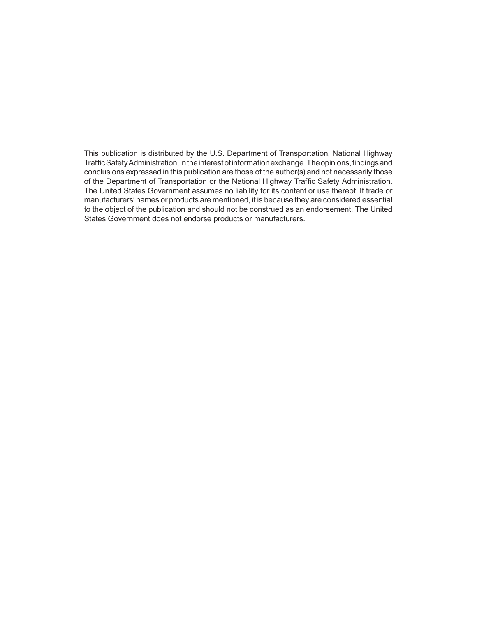This publication is distributed by the U.S. Department of Transportation, National Highway Traffic Safety Administration, in the interest of information exchange. The opinions, findings and conclusions expressed in this publication are those of the author(s) and not necessarily those of the Department of Transportation or the National Highway Traffic Safety Administration. The United States Government assumes no liability for its content or use thereof. If trade or manufacturers' names or products are mentioned, it is because they are considered essential to the object of the publication and should not be construed as an endorsement. The United States Government does not endorse products or manufacturers.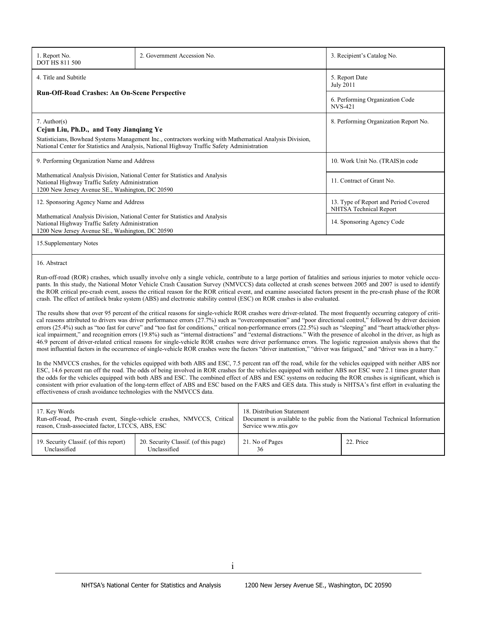| 1. Report No.<br><b>DOT HS 811 500</b>                                                                                                                                                                                                                               | 2. Government Accession No.                                                                                                                                                       |                                                    | 3. Recipient's Catalog No.                                                                                                                                                                                                                                                                                                                                                                                                                                                                                                                                                                                                                                                                                                                                                                                                                                                                                                                                                                                                                                                                                                                                                                                                                                                                                                                                                                                                                                                                                                                                                                                                                                                                                                                                                                                                                                                                                                                                                                                                                                                                                                                                                                    |  |  |
|----------------------------------------------------------------------------------------------------------------------------------------------------------------------------------------------------------------------------------------------------------------------|-----------------------------------------------------------------------------------------------------------------------------------------------------------------------------------|----------------------------------------------------|-----------------------------------------------------------------------------------------------------------------------------------------------------------------------------------------------------------------------------------------------------------------------------------------------------------------------------------------------------------------------------------------------------------------------------------------------------------------------------------------------------------------------------------------------------------------------------------------------------------------------------------------------------------------------------------------------------------------------------------------------------------------------------------------------------------------------------------------------------------------------------------------------------------------------------------------------------------------------------------------------------------------------------------------------------------------------------------------------------------------------------------------------------------------------------------------------------------------------------------------------------------------------------------------------------------------------------------------------------------------------------------------------------------------------------------------------------------------------------------------------------------------------------------------------------------------------------------------------------------------------------------------------------------------------------------------------------------------------------------------------------------------------------------------------------------------------------------------------------------------------------------------------------------------------------------------------------------------------------------------------------------------------------------------------------------------------------------------------------------------------------------------------------------------------------------------------|--|--|
| 4. Title and Subtitle                                                                                                                                                                                                                                                |                                                                                                                                                                                   |                                                    | 5. Report Date<br><b>July 2011</b>                                                                                                                                                                                                                                                                                                                                                                                                                                                                                                                                                                                                                                                                                                                                                                                                                                                                                                                                                                                                                                                                                                                                                                                                                                                                                                                                                                                                                                                                                                                                                                                                                                                                                                                                                                                                                                                                                                                                                                                                                                                                                                                                                            |  |  |
| <b>Run-Off-Road Crashes: An On-Scene Perspective</b>                                                                                                                                                                                                                 |                                                                                                                                                                                   |                                                    | 6. Performing Organization Code<br><b>NVS-421</b>                                                                                                                                                                                                                                                                                                                                                                                                                                                                                                                                                                                                                                                                                                                                                                                                                                                                                                                                                                                                                                                                                                                                                                                                                                                                                                                                                                                                                                                                                                                                                                                                                                                                                                                                                                                                                                                                                                                                                                                                                                                                                                                                             |  |  |
| $7.$ Author(s)<br>Cejun Liu, Ph.D., and Tony Jianqiang Ye<br>Statisticians, Bowhead Systems Management Inc., contractors working with Mathematical Analysis Division,<br>National Center for Statistics and Analysis, National Highway Traffic Safety Administration |                                                                                                                                                                                   | 8. Performing Organization Report No.              |                                                                                                                                                                                                                                                                                                                                                                                                                                                                                                                                                                                                                                                                                                                                                                                                                                                                                                                                                                                                                                                                                                                                                                                                                                                                                                                                                                                                                                                                                                                                                                                                                                                                                                                                                                                                                                                                                                                                                                                                                                                                                                                                                                                               |  |  |
| 9. Performing Organization Name and Address                                                                                                                                                                                                                          |                                                                                                                                                                                   |                                                    | 10. Work Unit No. (TRAIS)n code                                                                                                                                                                                                                                                                                                                                                                                                                                                                                                                                                                                                                                                                                                                                                                                                                                                                                                                                                                                                                                                                                                                                                                                                                                                                                                                                                                                                                                                                                                                                                                                                                                                                                                                                                                                                                                                                                                                                                                                                                                                                                                                                                               |  |  |
| Mathematical Analysis Division, National Center for Statistics and Analysis<br>National Highway Traffic Safety Administration<br>1200 New Jersey Avenue SE., Washington, DC 20590                                                                                    |                                                                                                                                                                                   | 11. Contract of Grant No.                          |                                                                                                                                                                                                                                                                                                                                                                                                                                                                                                                                                                                                                                                                                                                                                                                                                                                                                                                                                                                                                                                                                                                                                                                                                                                                                                                                                                                                                                                                                                                                                                                                                                                                                                                                                                                                                                                                                                                                                                                                                                                                                                                                                                                               |  |  |
| 12. Sponsoring Agency Name and Address                                                                                                                                                                                                                               |                                                                                                                                                                                   |                                                    | 13. Type of Report and Period Covered<br>NHTSA Technical Report                                                                                                                                                                                                                                                                                                                                                                                                                                                                                                                                                                                                                                                                                                                                                                                                                                                                                                                                                                                                                                                                                                                                                                                                                                                                                                                                                                                                                                                                                                                                                                                                                                                                                                                                                                                                                                                                                                                                                                                                                                                                                                                               |  |  |
|                                                                                                                                                                                                                                                                      | Mathematical Analysis Division, National Center for Statistics and Analysis<br>National Highway Traffic Safety Administration<br>1200 New Jersey Avenue SE., Washington, DC 20590 |                                                    |                                                                                                                                                                                                                                                                                                                                                                                                                                                                                                                                                                                                                                                                                                                                                                                                                                                                                                                                                                                                                                                                                                                                                                                                                                                                                                                                                                                                                                                                                                                                                                                                                                                                                                                                                                                                                                                                                                                                                                                                                                                                                                                                                                                               |  |  |
| 15. Supplementary Notes                                                                                                                                                                                                                                              |                                                                                                                                                                                   |                                                    |                                                                                                                                                                                                                                                                                                                                                                                                                                                                                                                                                                                                                                                                                                                                                                                                                                                                                                                                                                                                                                                                                                                                                                                                                                                                                                                                                                                                                                                                                                                                                                                                                                                                                                                                                                                                                                                                                                                                                                                                                                                                                                                                                                                               |  |  |
| 16. Abstract<br>effectiveness of crash avoidance technologies with the NMVCCS data.                                                                                                                                                                                  | crash. The effect of antilock brake system (ABS) and electronic stability control (ESC) on ROR crashes is also evaluated.                                                         |                                                    | Run-off-road (ROR) crashes, which usually involve only a single vehicle, contribute to a large portion of fatalities and serious injuries to motor vehicle occu-<br>pants. In this study, the National Motor Vehicle Crash Causation Survey (NMVCCS) data collected at crash scenes between 2005 and 2007 is used to identify<br>the ROR critical pre-crash event, assess the critical reason for the ROR critical event, and examine associated factors present in the pre-crash phase of the ROR<br>The results show that over 95 percent of the critical reasons for single-vehicle ROR crashes were driver-related. The most frequently occurring category of criti-<br>cal reasons attributed to drivers was driver performance errors (27.7%) such as "overcompensation" and "poor directional control," followed by driver decision<br>errors (25.4%) such as "too fast for curve" and "too fast for conditions," critical non-performance errors (22.5%) such as "sleeping" and "heart attack/other phys-<br>ical impairment," and recognition errors (19.8%) such as "internal distractions" and "external distractions." With the presence of alcohol in the driver, as high as<br>46.9 percent of driver-related critical reasons for single-vehicle ROR crashes were driver performance errors. The logistic regression analysis shows that the<br>most influential factors in the occurrence of single-vehicle ROR crashes were the factors "driver inattention," "driver was fatigued," and "driver was in a hurry."<br>In the NMVCCS crashes, for the vehicles equipped with both ABS and ESC, 7.5 percent ran off the road, while for the vehicles equipped with neither ABS nor<br>ESC, 14.6 percent ran off the road. The odds of being involved in ROR crashes for the vehicles equipped with neither ABS nor ESC were 2.1 times greater than<br>the odds for the vehicles equipped with both ABS and ESC. The combined effect of ABS and ESC systems on reducing the ROR crashes is significant, which is<br>consistent with prior evaluation of the long-term effect of ABS and ESC based on the FARS and GES data. This study is NHTSA's first effort in evaluating the |  |  |
| 17. Key Words<br>reason, Crash-associated factor, LTCCS, ABS, ESC                                                                                                                                                                                                    | Run-off-road, Pre-crash event, Single-vehicle crashes, NMVCCS, Critical                                                                                                           | 18. Distribution Statement<br>Service www.ntis.gov | Document is available to the public from the National Technical Information                                                                                                                                                                                                                                                                                                                                                                                                                                                                                                                                                                                                                                                                                                                                                                                                                                                                                                                                                                                                                                                                                                                                                                                                                                                                                                                                                                                                                                                                                                                                                                                                                                                                                                                                                                                                                                                                                                                                                                                                                                                                                                                   |  |  |
| 19. Security Classif. (of this report)<br>Unclassified                                                                                                                                                                                                               | 20. Security Classif. (of this page)<br>Unclassified                                                                                                                              | 21. No of Pages<br>36                              | 22. Price                                                                                                                                                                                                                                                                                                                                                                                                                                                                                                                                                                                                                                                                                                                                                                                                                                                                                                                                                                                                                                                                                                                                                                                                                                                                                                                                                                                                                                                                                                                                                                                                                                                                                                                                                                                                                                                                                                                                                                                                                                                                                                                                                                                     |  |  |
|                                                                                                                                                                                                                                                                      |                                                                                                                                                                                   |                                                    |                                                                                                                                                                                                                                                                                                                                                                                                                                                                                                                                                                                                                                                                                                                                                                                                                                                                                                                                                                                                                                                                                                                                                                                                                                                                                                                                                                                                                                                                                                                                                                                                                                                                                                                                                                                                                                                                                                                                                                                                                                                                                                                                                                                               |  |  |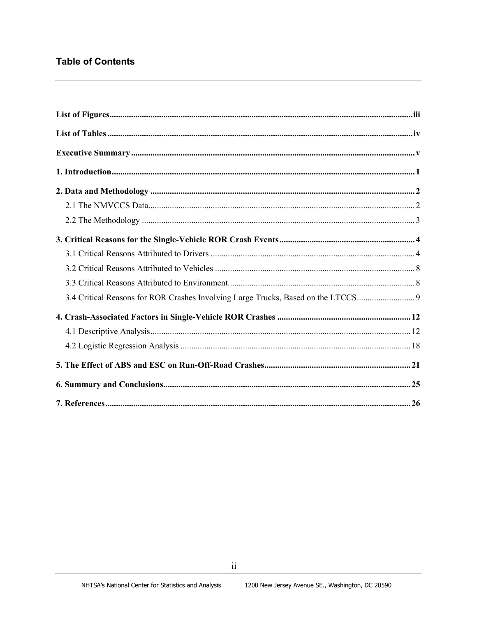## **Table of Contents**

| 3.4 Critical Reasons for ROR Crashes Involving Large Trucks, Based on the LTCCS |  |
|---------------------------------------------------------------------------------|--|
|                                                                                 |  |
|                                                                                 |  |
|                                                                                 |  |
|                                                                                 |  |
|                                                                                 |  |
|                                                                                 |  |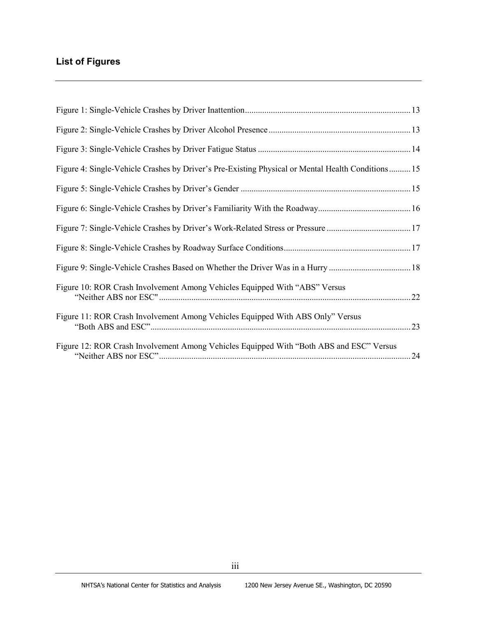# **List of Figures**

| Figure 4: Single-Vehicle Crashes by Driver's Pre-Existing Physical or Mental Health Conditions 15 |  |
|---------------------------------------------------------------------------------------------------|--|
|                                                                                                   |  |
|                                                                                                   |  |
| Figure 7: Single-Vehicle Crashes by Driver's Work-Related Stress or Pressure 17                   |  |
|                                                                                                   |  |
|                                                                                                   |  |
| Figure 10: ROR Crash Involvement Among Vehicles Equipped With "ABS" Versus                        |  |
| Figure 11: ROR Crash Involvement Among Vehicles Equipped With ABS Only" Versus                    |  |
| Figure 12: ROR Crash Involvement Among Vehicles Equipped With "Both ABS and ESC" Versus           |  |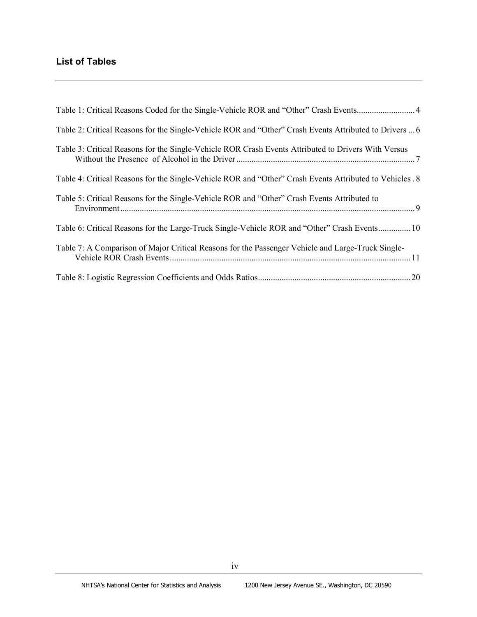# **List of Tables**

| Table 2: Critical Reasons for the Single-Vehicle ROR and "Other" Crash Events Attributed to Drivers  6   |
|----------------------------------------------------------------------------------------------------------|
| Table 3: Critical Reasons for the Single-Vehicle ROR Crash Events Attributed to Drivers With Versus      |
| Table 4: Critical Reasons for the Single-Vehicle ROR and "Other" Crash Events Attributed to Vehicles . 8 |
| Table 5: Critical Reasons for the Single-Vehicle ROR and "Other" Crash Events Attributed to              |
| Table 6: Critical Reasons for the Large-Truck Single-Vehicle ROR and "Other" Crash Events 10             |
| Table 7: A Comparison of Major Critical Reasons for the Passenger Vehicle and Large-Truck Single-        |
|                                                                                                          |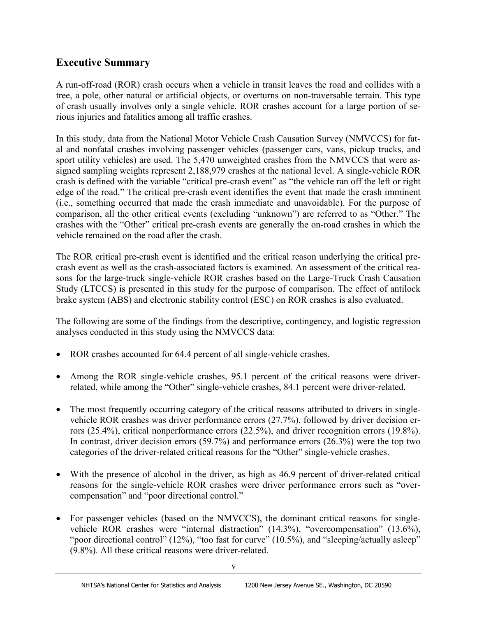# **Executive Summary**

A run-off-road (ROR) crash occurs when a vehicle in transit leaves the road and collides with a tree, a pole, other natural or artificial objects, or overturns on non-traversable terrain. This type of crash usually involves only a single vehicle. ROR crashes account for a large portion of serious injuries and fatalities among all traffic crashes.

In this study, data from the National Motor Vehicle Crash Causation Survey (NMVCCS) for fatal and nonfatal crashes involving passenger vehicles (passenger cars, vans, pickup trucks, and sport utility vehicles) are used. The 5,470 unweighted crashes from the NMVCCS that were assigned sampling weights represent 2,188,979 crashes at the national level. A single-vehicle ROR crash is defined with the variable "critical pre-crash event" as "the vehicle ran off the left or right edge of the road." The critical pre-crash event identifies the event that made the crash imminent (i.e., something occurred that made the crash immediate and unavoidable). For the purpose of comparison, all the other critical events (excluding "unknown") are referred to as "Other." The crashes with the "Other" critical pre-crash events are generally the on-road crashes in which the vehicle remained on the road after the crash.

The ROR critical pre-crash event is identified and the critical reason underlying the critical precrash event as well as the crash-associated factors is examined. An assessment of the critical reasons for the large-truck single-vehicle ROR crashes based on the Large-Truck Crash Causation Study (LTCCS) is presented in this study for the purpose of comparison. The effect of antilock brake system (ABS) and electronic stability control (ESC) on ROR crashes is also evaluated.

The following are some of the findings from the descriptive, contingency, and logistic regression analyses conducted in this study using the NMVCCS data:

- ROR crashes accounted for 64.4 percent of all single-vehicle crashes.
- Among the ROR single-vehicle crashes, 95.1 percent of the critical reasons were driverrelated, while among the "Other" single-vehicle crashes, 84.1 percent were driver-related.
- The most frequently occurring category of the critical reasons attributed to drivers in singlevehicle ROR crashes was driver performance errors (27.7%), followed by driver decision errors (25.4%), critical nonperformance errors (22.5%), and driver recognition errors (19.8%). In contrast, driver decision errors (59.7%) and performance errors (26.3%) were the top two categories of the driver-related critical reasons for the "Other" single-vehicle crashes.
- With the presence of alcohol in the driver, as high as 46.9 percent of driver-related critical reasons for the single-vehicle ROR crashes were driver performance errors such as "overcompensation" and "poor directional control."
- For passenger vehicles (based on the NMVCCS), the dominant critical reasons for singlevehicle ROR crashes were "internal distraction" (14.3%), "overcompensation" (13.6%), "poor directional control" (12%), "too fast for curve" (10.5%), and "sleeping/actually asleep" (9.8%). All these critical reasons were driver-related.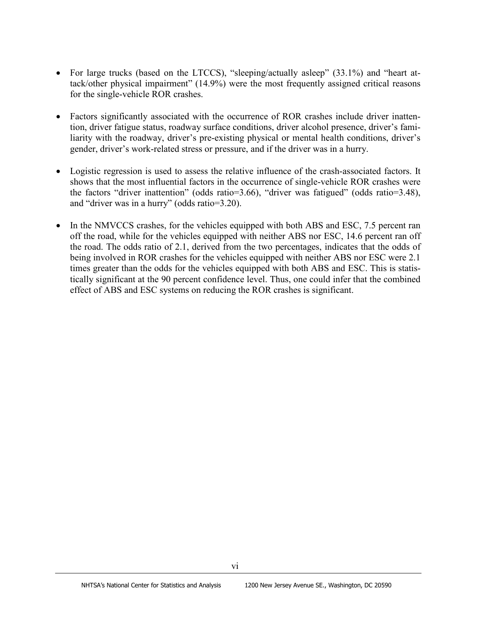- For large trucks (based on the LTCCS), "sleeping/actually asleep" (33.1%) and "heart attack/other physical impairment" (14.9%) were the most frequently assigned critical reasons for the single-vehicle ROR crashes.
- Factors significantly associated with the occurrence of ROR crashes include driver inattention, driver fatigue status, roadway surface conditions, driver alcohol presence, driver's familiarity with the roadway, driver's pre-existing physical or mental health conditions, driver's gender, driver's work-related stress or pressure, and if the driver was in a hurry.
- Logistic regression is used to assess the relative influence of the crash-associated factors. It shows that the most influential factors in the occurrence of single-vehicle ROR crashes were the factors "driver inattention" (odds ratio=3.66), "driver was fatigued" (odds ratio=3.48), and "driver was in a hurry" (odds ratio=3.20).
- In the NMVCCS crashes, for the vehicles equipped with both ABS and ESC, 7.5 percent ran off the road, while for the vehicles equipped with neither ABS nor ESC, 14.6 percent ran off the road. The odds ratio of 2.1, derived from the two percentages, indicates that the odds of being involved in ROR crashes for the vehicles equipped with neither ABS nor ESC were 2.1 times greater than the odds for the vehicles equipped with both ABS and ESC. This is statistically significant at the 90 percent confidence level. Thus, one could infer that the combined effect of ABS and ESC systems on reducing the ROR crashes is significant.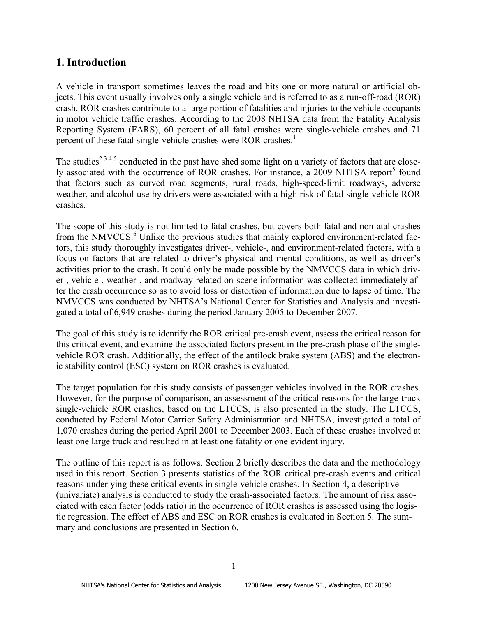# **1. Introduction**

A vehicle in transport sometimes leaves the road and hits one or more natural or artificial objects. This event usually involves only a single vehicle and is referred to as a run-off-road (ROR) crash. ROR crashes contribute to a large portion of fatalities and injuries to the vehicle occupants in motor vehicle traffic crashes. According to the 2008 NHTSA data from the Fatality Analysis Reporting System (FARS), 60 percent of all fatal crashes were single-vehicle crashes and 71 percent of these fatal single-vehicle crashes were ROR crashes. 1

The studies<sup>2 3 4 5</sup> conducted in the past have shed some light on a variety of factors that are closely associated with the occurrence of ROR crashes. For instance, a 2009 NHTSA report<sup>5</sup> found that factors such as curved road segments, rural roads, high-speed-limit roadways, adverse weather, and alcohol use by drivers were associated with a high risk of fatal single-vehicle ROR crashes.

The scope of this study is not limited to fatal crashes, but covers both fatal and nonfatal crashes from the NMVCCS.<sup>6</sup> Unlike the previous studies that mainly explored environment-related factors, this study thoroughly investigates driver-, vehicle-, and environment-related factors, with a focus on factors that are related to driver's physical and mental conditions, as well as driver's activities prior to the crash. It could only be made possible by the NMVCCS data in which driver-, vehicle-, weather-, and roadway-related on-scene information was collected immediately after the crash occurrence so as to avoid loss or distortion of information due to lapse of time. The NMVCCS was conducted by NHTSA's National Center for Statistics and Analysis and investigated a total of 6,949 crashes during the period January 2005 to December 2007.

The goal of this study is to identify the ROR critical pre-crash event, assess the critical reason for this critical event, and examine the associated factors present in the pre-crash phase of the singlevehicle ROR crash. Additionally, the effect of the antilock brake system (ABS) and the electronic stability control (ESC) system on ROR crashes is evaluated.

The target population for this study consists of passenger vehicles involved in the ROR crashes. However, for the purpose of comparison, an assessment of the critical reasons for the large-truck single-vehicle ROR crashes, based on the LTCCS, is also presented in the study. The LTCCS, conducted by Federal Motor Carrier Safety Administration and NHTSA, investigated a total of 1,070 crashes during the period April 2001 to December 2003. Each of these crashes involved at least one large truck and resulted in at least one fatality or one evident injury.

The outline of this report is as follows. Section 2 briefly describes the data and the methodology used in this report. Section 3 presents statistics of the ROR critical pre-crash events and critical reasons underlying these critical events in single-vehicle crashes. In Section 4, a descriptive (univariate) analysis is conducted to study the crash-associated factors. The amount of risk associated with each factor (odds ratio) in the occurrence of ROR crashes is assessed using the logistic regression. The effect of ABS and ESC on ROR crashes is evaluated in Section 5. The summary and conclusions are presented in Section 6.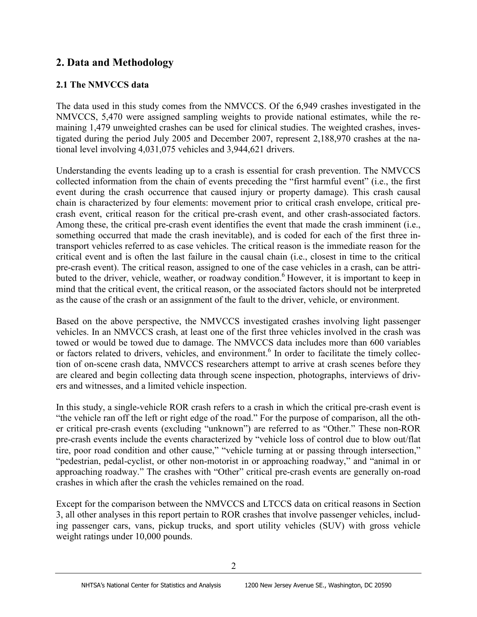# **2. Data and Methodology**

## **2.1 The NMVCCS data**

The data used in this study comes from the NMVCCS. Of the 6,949 crashes investigated in the NMVCCS, 5,470 were assigned sampling weights to provide national estimates, while the remaining 1,479 unweighted crashes can be used for clinical studies. The weighted crashes, investigated during the period July 2005 and December 2007, represent 2,188,970 crashes at the national level involving 4,031,075 vehicles and 3,944,621 drivers.

Understanding the events leading up to a crash is essential for crash prevention. The NMVCCS collected information from the chain of events preceding the "first harmful event" (i.e., the first event during the crash occurrence that caused injury or property damage). This crash causal chain is characterized by four elements: movement prior to critical crash envelope, critical precrash event, critical reason for the critical pre-crash event, and other crash-associated factors. Among these, the critical pre-crash event identifies the event that made the crash imminent (i.e., something occurred that made the crash inevitable), and is coded for each of the first three intransport vehicles referred to as case vehicles. The critical reason is the immediate reason for the critical event and is often the last failure in the causal chain (i.e., closest in time to the critical pre-crash event). The critical reason, assigned to one of the case vehicles in a crash, can be attributed to the driver, vehicle, weather, or roadway condition.<sup>6</sup> However, it is important to keep in mind that the critical event, the critical reason, or the associated factors should not be interpreted as the cause of the crash or an assignment of the fault to the driver, vehicle, or environment.

Based on the above perspective, the NMVCCS investigated crashes involving light passenger vehicles. In an NMVCCS crash, at least one of the first three vehicles involved in the crash was towed or would be towed due to damage. The NMVCCS data includes more than 600 variables or factors related to drivers, vehicles, and environment.<sup>6</sup> In order to facilitate the timely collection of on-scene crash data, NMVCCS researchers attempt to arrive at crash scenes before they are cleared and begin collecting data through scene inspection, photographs, interviews of drivers and witnesses, and a limited vehicle inspection.

In this study, a single-vehicle ROR crash refers to a crash in which the critical pre-crash event is "the vehicle ran off the left or right edge of the road." For the purpose of comparison, all the other critical pre-crash events (excluding "unknown") are referred to as "Other." These non-ROR pre-crash events include the events characterized by "vehicle loss of control due to blow out/flat tire, poor road condition and other cause," "vehicle turning at or passing through intersection," "pedestrian, pedal-cyclist, or other non-motorist in or approaching roadway," and "animal in or approaching roadway." The crashes with "Other" critical pre-crash events are generally on-road crashes in which after the crash the vehicles remained on the road.

Except for the comparison between the NMVCCS and LTCCS data on critical reasons in Section 3, all other analyses in this report pertain to ROR crashes that involve passenger vehicles, including passenger cars, vans, pickup trucks, and sport utility vehicles (SUV) with gross vehicle weight ratings under 10,000 pounds.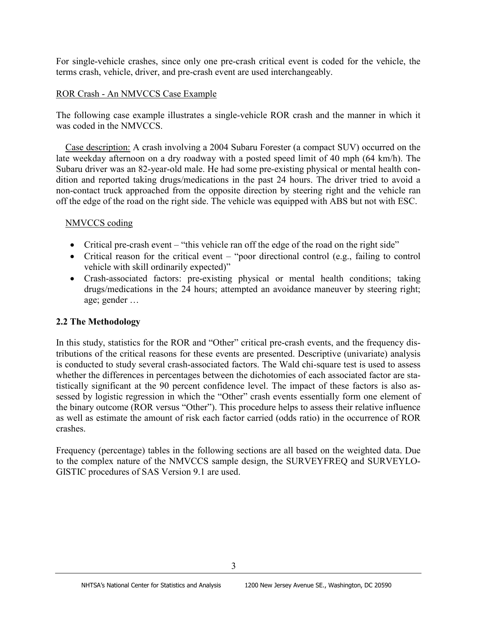For single-vehicle crashes, since only one pre-crash critical event is coded for the vehicle, the terms crash, vehicle, driver, and pre-crash event are used interchangeably.

## ROR Crash - An NMVCCS Case Example

The following case example illustrates a single-vehicle ROR crash and the manner in which it was coded in the NMVCCS

 Case description: A crash involving a 2004 Subaru Forester (a compact SUV) occurred on the late weekday afternoon on a dry roadway with a posted speed limit of 40 mph (64 km/h). The Subaru driver was an 82-year-old male. He had some pre-existing physical or mental health condition and reported taking drugs/medications in the past 24 hours. The driver tried to avoid a non-contact truck approached from the opposite direction by steering right and the vehicle ran off the edge of the road on the right side. The vehicle was equipped with ABS but not with ESC.

## NMVCCS coding

- Critical pre-crash event "this vehicle ran off the edge of the road on the right side"
- Critical reason for the critical event "poor directional control (e.g., failing to control vehicle with skill ordinarily expected)"
- Crash-associated factors: pre-existing physical or mental health conditions; taking drugs/medications in the 24 hours; attempted an avoidance maneuver by steering right; age; gender …

## **2.2 The Methodology**

In this study, statistics for the ROR and "Other" critical pre-crash events, and the frequency distributions of the critical reasons for these events are presented. Descriptive (univariate) analysis is conducted to study several crash-associated factors. The Wald chi-square test is used to assess whether the differences in percentages between the dichotomies of each associated factor are statistically significant at the 90 percent confidence level. The impact of these factors is also assessed by logistic regression in which the "Other" crash events essentially form one element of the binary outcome (ROR versus "Other"). This procedure helps to assess their relative influence as well as estimate the amount of risk each factor carried (odds ratio) in the occurrence of ROR crashes.

Frequency (percentage) tables in the following sections are all based on the weighted data. Due to the complex nature of the NMVCCS sample design, the SURVEYFREQ and SURVEYLO-GISTIC procedures of SAS Version 9.1 are used.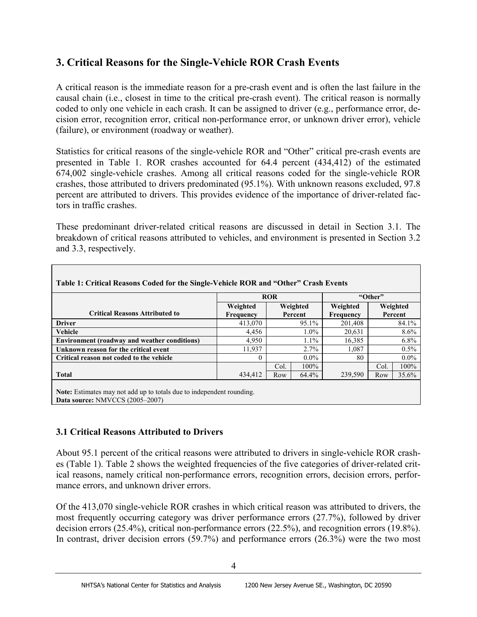# **3. Critical Reasons for the Single-Vehicle ROR Crash Events**

A critical reason is the immediate reason for a pre-crash event and is often the last failure in the causal chain (i.e., closest in time to the critical pre-crash event). The critical reason is normally coded to only one vehicle in each crash. It can be assigned to driver (e.g., performance error, decision error, recognition error, critical non-performance error, or unknown driver error), vehicle (failure), or environment (roadway or weather).

Statistics for critical reasons of the single-vehicle ROR and "Other" critical pre-crash events are presented in Table 1. ROR crashes accounted for 64.4 percent (434,412) of the estimated 674,002 single-vehicle crashes. Among all critical reasons coded for the single-vehicle ROR crashes, those attributed to drivers predominated (95.1%). With unknown reasons excluded, 97.8 percent are attributed to drivers. This provides evidence of the importance of driver-related factors in traffic crashes.

These predominant driver-related critical reasons are discussed in detail in Section 3.1. The breakdown of critical reasons attributed to vehicles, and environment is presented in Section 3.2 and 3.3, respectively.

| Table 1: Critical Reasons Coded for the Single-Vehicle ROR and "Other" Crash Events |                       |                     |                       |      |                     |
|-------------------------------------------------------------------------------------|-----------------------|---------------------|-----------------------|------|---------------------|
|                                                                                     | <b>ROR</b>            | "Other"             |                       |      |                     |
| <b>Critical Reasons Attributed to</b>                                               | Weighted<br>Frequency | Weighted<br>Percent | Weighted<br>Frequency |      | Weighted<br>Percent |
| <b>Driver</b>                                                                       | 413,070               | 95.1%               | 201,408               |      | 84.1%               |
| Vehicle                                                                             | 4,456                 | $1.0\%$             | 20,631                |      | $8.6\%$             |
| <b>Environment (roadway and weather conditions)</b>                                 | 4,950                 | $1.1\%$             | 16,385                |      | $6.8\%$             |
| Unknown reason for the critical event                                               | 11,937                | 2.7%                | 1,087                 |      | $0.5\%$             |
| Critical reason not coded to the vehicle                                            | $\theta$              | $0.0\%$             | 80                    |      | $0.0\%$             |
|                                                                                     |                       | Col.<br>100%        |                       | Col. | 100%                |
| <b>Total</b>                                                                        | 434,412               | 64.4%<br>Row        | 239,590               | Row  | 35.6%               |
| Note: Estimates may not add up to totals due to independent rounding                |                       |                     |                       |      |                     |

**Note:** Estimates may not add up to totals due to independent rounding. **Data source:** NMVCCS (2005–2007)

## **3.1 Critical Reasons Attributed to Drivers**

About 95.1 percent of the critical reasons were attributed to drivers in single-vehicle ROR crashes (Table 1). Table 2 shows the weighted frequencies of the five categories of driver-related critical reasons, namely critical non-performance errors, recognition errors, decision errors, performance errors, and unknown driver errors.

Of the 413,070 single-vehicle ROR crashes in which critical reason was attributed to drivers, the most frequently occurring category was driver performance errors (27.7%), followed by driver decision errors (25.4%), critical non-performance errors (22.5%), and recognition errors (19.8%). In contrast, driver decision errors (59.7%) and performance errors (26.3%) were the two most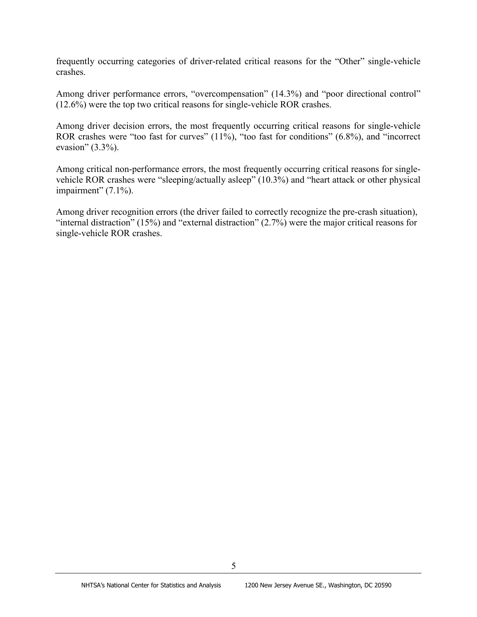frequently occurring categories of driver-related critical reasons for the "Other" single-vehicle crashes.

Among driver performance errors, "overcompensation" (14.3%) and "poor directional control" (12.6%) were the top two critical reasons for single-vehicle ROR crashes.

Among driver decision errors, the most frequently occurring critical reasons for single-vehicle ROR crashes were "too fast for curves" (11%), "too fast for conditions" (6.8%), and "incorrect evasion"  $(3.3\%)$ .

Among critical non-performance errors, the most frequently occurring critical reasons for singlevehicle ROR crashes were "sleeping/actually asleep" (10.3%) and "heart attack or other physical impairment" (7.1%).

Among driver recognition errors (the driver failed to correctly recognize the pre-crash situation), "internal distraction" (15%) and "external distraction"  $(2.7\%)$  were the major critical reasons for single-vehicle ROR crashes.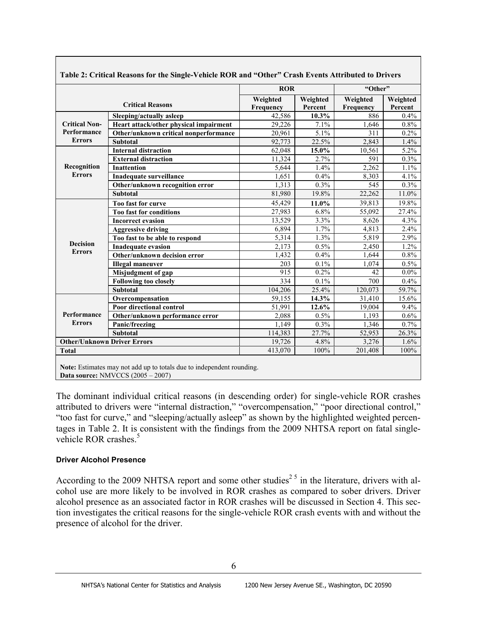|                      |                                        | <b>ROR</b>            |                     | "Other"               |                     |
|----------------------|----------------------------------------|-----------------------|---------------------|-----------------------|---------------------|
|                      | <b>Critical Reasons</b>                | Weighted<br>Frequency | Weighted<br>Percent | Weighted<br>Frequency | Weighted<br>Percent |
|                      | Sleeping/actually asleep               | 42,586                | 10.3%               | 886                   | 0.4%                |
| <b>Critical Non-</b> | Heart attack/other physical impairment | 29,226                | 7.1%                | 1,646                 | 0.8%                |
| Performance          | Other/unknown critical nonperformance  | 20,961                | 5.1%                | 311                   | $0.2\%$             |
| <b>Errors</b>        | <b>Subtotal</b>                        | 92,773                | 22.5%               | 2,843                 | 1.4%                |
|                      | <b>Internal distraction</b>            | 62.048                | 15.0%               | 10,561                | 5.2%                |
|                      | <b>External distraction</b>            | 11,324                | 2.7%                | 591                   | 0.3%                |
| Recognition          | <b>Inattention</b>                     | 5,644                 | 1.4%                | 2,262                 | 1.1%                |
| <b>Errors</b>        | Inadequate surveillance                | 1.651                 | 0.4%                | 8,303                 | 4.1%                |
|                      | Other/unknown recognition error        | 1,313                 | 0.3%                | 545                   | 0.3%                |
|                      | <b>Subtotal</b>                        | 81,980                | 19.8%               | 22,262                | 11.0%               |
|                      | Too fast for curve                     | 45.429                | 11.0%               | 39.813                | 19.8%               |
| <b>Decision</b>      | Too fast for conditions                | 27,983                | 6.8%                | 55,092                | 27.4%               |
|                      | <b>Incorrect evasion</b>               | 13,529                | 3.3%                | 8,626                 | 4.3%                |
|                      | <b>Aggressive driving</b>              | 6.894                 | $1.7\%$             | 4.813                 | 2.4%                |
|                      | Too fast to be able to respond         | 5,314                 | 1.3%                | 5,819                 | 2.9%                |
|                      | <b>Inadequate evasion</b>              | 2.173                 | 0.5%                | 2,450                 | 1.2%                |
| <b>Errors</b>        | Other/unknown decision error           | 1,432                 | 0.4%                | 1.644                 | 0.8%                |
|                      | <b>Illegal maneuver</b>                | 203                   | 0.1%                | 1.074                 | 0.5%                |
|                      | Misjudgment of gap                     | 915                   | 0.2%                | 42                    | $0.0\%$             |
|                      | <b>Following too closely</b>           | 334                   | 0.1%                | 700                   | 0.4%                |
|                      | <b>Subtotal</b>                        | 104,206               | 25.4%               | 120.073               | 59.7%               |
|                      | Overcompensation                       | 59,155                | 14.3%               | 31,410                | 15.6%               |
|                      | Poor directional control               | 51,991                | 12.6%               | 19.004                | 9.4%                |
| Performance          | Other/unknown performance error        | 2,088                 | 0.5%                | 1.193                 | 0.6%                |
| <b>Errors</b>        | Panic/freezing                         | 1,149                 | 0.3%                | 1,346                 | 0.7%                |
|                      | <b>Subtotal</b>                        | 114,383               | 27.7%               | 52,953                | 26.3%               |
|                      | <b>Other/Unknown Driver Errors</b>     | 19,726                | 4.8%                | 3,276                 | 1.6%                |
| <b>Total</b>         |                                        | 413.070               | 100%                | 201,408               | 100%                |

**Table 2: Critical Reasons for the Single-Vehicle ROR and "Other" Crash Events Attributed to Drivers**

**Note:** Estimates may not add up to totals due to independent rounding. **Data source:** NMVCCS (2005 – 2007)

The dominant individual critical reasons (in descending order) for single-vehicle ROR crashes attributed to drivers were "internal distraction," "overcompensation," "poor directional control," "too fast for curve," and "sleeping/actually asleep" as shown by the highlighted weighted percentages in Table 2. It is consistent with the findings from the 2009 NHTSA report on fatal singlevehicle ROR crashes. $5$ 

#### **Driver Alcohol Presence**

According to the 2009 NHTSA report and some other studies<sup>25</sup> in the literature, drivers with alcohol use are more likely to be involved in ROR crashes as compared to sober drivers. Driver alcohol presence as an associated factor in ROR crashes will be discussed in Section 4. This section investigates the critical reasons for the single-vehicle ROR crash events with and without the presence of alcohol for the driver.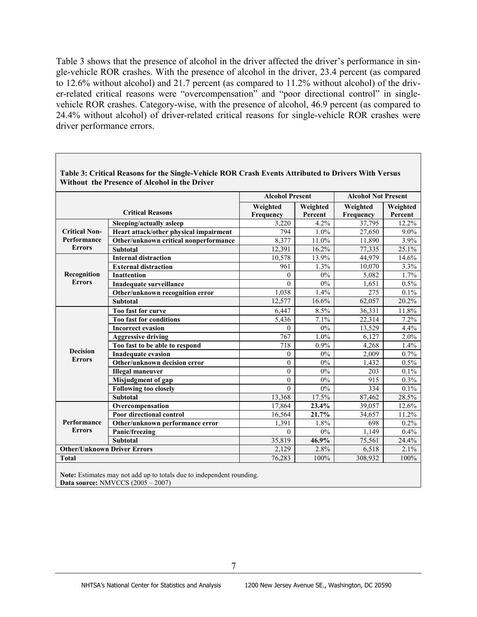Table 3 shows that the presence of alcohol in the driver affected the driver's performance in single-vehicle ROR crashes. With the presence of alcohol in the driver, 23.4 percent (as compared to 12.6% without alcohol) and 21.7 percent (as compared to 11.2% without alcohol) of the driver-related critical reasons were "overcompensation" and "poor directional control" in singlevehicle ROR crashes. Category-wise, with the presence of alcohol, 46.9 percent (as compared to 24.4% without alcohol) of driver-related critical reasons for single-vehicle ROR crashes were driver performance errors.

|                                    |                                        |                       | <b>Alcohol Present</b> |                       | <b>Alcohol Not Present</b> |  |
|------------------------------------|----------------------------------------|-----------------------|------------------------|-----------------------|----------------------------|--|
|                                    | <b>Critical Reasons</b>                | Weighted<br>Frequency | Weighted<br>Percent    | Weighted<br>Frequency | Weighted<br>Percent        |  |
|                                    | Sleeping/actually asleep               | 3,220                 | 4.2%                   | 37,795                | 12.2%                      |  |
| <b>Critical Non-</b>               | Heart attack/other physical impairment | 794                   | 1.0%                   | 27,650                | $9.0\%$                    |  |
| Performance                        | Other/unknown critical nonperformance  | 8,377                 | 11.0%                  | 11,890                | 3.9%                       |  |
| <b>Errors</b>                      | <b>Subtotal</b>                        | 12,391                | 16.2%                  | 77,335                | 25.1%                      |  |
|                                    | <b>Internal distraction</b>            | 10,578                | 13.9%                  | 44,979                | 14.6%                      |  |
|                                    | <b>External distraction</b>            | 961                   | 1.3%                   | 10,070                | 3.3%                       |  |
| Recognition                        | <b>Inattention</b>                     | $\boldsymbol{0}$      | $0\%$                  | 5,082                 | 1.7%                       |  |
| <b>Errors</b>                      | Inadequate surveillance                | $\theta$              | $0\%$                  | 1,651                 | 0.5%                       |  |
|                                    | Other/unknown recognition error        | 1,038                 | 1.4%                   | 275                   | 0.1%                       |  |
|                                    | <b>Subtotal</b>                        | 12,577                | 16.6%                  | 62,057                | 20.2%                      |  |
|                                    | Too fast for curve                     | 6.447                 | 8.5%                   | 36,331                | 11.8%                      |  |
|                                    | <b>Too fast for conditions</b>         | 5,436                 | 7.1%                   | 22,314                | 7.2%                       |  |
|                                    | <b>Incorrect evasion</b>               | $\theta$              | $0\%$                  | 13,529                | 4.4%                       |  |
|                                    | <b>Aggressive driving</b>              | 767                   | 1.0%                   | 6,127                 | 2.0%                       |  |
|                                    | Too fast to be able to respond         | 718                   | 0.9%                   | 4,268                 | 1.4%                       |  |
| <b>Decision</b>                    | <b>Inadequate evasion</b>              | $\theta$              | $0\%$                  | 2,009                 | 0.7%                       |  |
| <b>Errors</b>                      | Other/unknown decision error           | $\theta$              | 0%                     | 1,432                 | 0.5%                       |  |
|                                    | <b>Illegal maneuver</b>                | $\theta$              | 0%                     | 203                   | $0.1\%$                    |  |
|                                    | Misjudgment of gap                     | $\theta$              | $0\%$                  | 915                   | 0.3%                       |  |
|                                    | <b>Following too closely</b>           | $\theta$              | $0\%$                  | 334                   | 0.1%                       |  |
|                                    | <b>Subtotal</b>                        | 13,368                | 17.5%                  | 87,462                | 28.5%                      |  |
|                                    | Overcompensation                       | 17,864                | 23.4%                  | 39,057                | 12.6%                      |  |
|                                    | Poor directional control               | 16,564                | 21.7%                  | 34,657                | 11.2%                      |  |
| Performance                        | Other/unknown performance error        | 1,391                 | 1.8%                   | 698                   | 0.2%                       |  |
| <b>Errors</b>                      | Panic/freezing                         | $\theta$              | 0%                     | 1,149                 | 0.4%                       |  |
|                                    | <b>Subtotal</b>                        | 35,819                | 46.9%                  | 75,561                | 24.4%                      |  |
| <b>Other/Unknown Driver Errors</b> |                                        | 2,129                 | 2.8%                   | 6,518                 | 2.1%                       |  |
| <b>Total</b>                       |                                        | 76,283                | 100%                   | 308,932               | 100%                       |  |
|                                    |                                        |                       |                        |                       |                            |  |

**Table 3: Critical Reasons for the Single-Vehicle ROR Crash Events Attributed to Drivers With Versus Without the Presence of Alcohol in the Driver**

**Note:** Estimates may not add up to totals due to independent rounding. **Data source:** NMVCCS (2005 – 2007)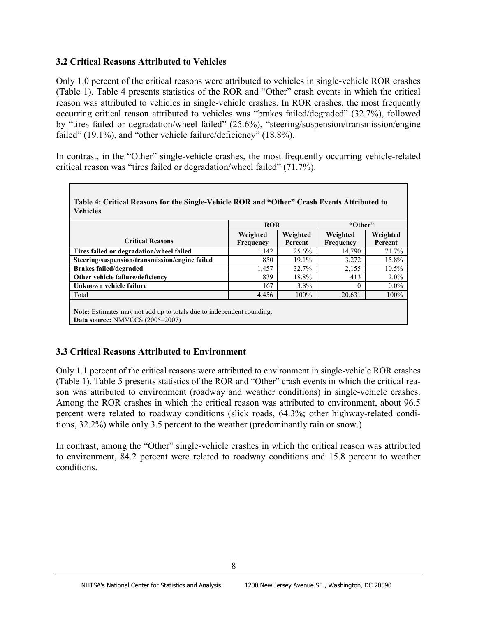## **3.2 Critical Reasons Attributed to Vehicles**

Only 1.0 percent of the critical reasons were attributed to vehicles in single-vehicle ROR crashes (Table 1). Table 4 presents statistics of the ROR and "Other" crash events in which the critical reason was attributed to vehicles in single-vehicle crashes. In ROR crashes, the most frequently occurring critical reason attributed to vehicles was "brakes failed/degraded" (32.7%), followed by "tires failed or degradation/wheel failed" (25.6%), "steering/suspension/transmission/engine failed" (19.1%), and "other vehicle failure/deficiency" (18.8%).

In contrast, in the "Other" single-vehicle crashes, the most frequently occurring vehicle-related critical reason was "tires failed or degradation/wheel failed" (71.7%).

|                                                | <b>ROR</b>            |                     | "Other"               |                     |
|------------------------------------------------|-----------------------|---------------------|-----------------------|---------------------|
| <b>Critical Reasons</b>                        | Weighted<br>Frequency | Weighted<br>Percent | Weighted<br>Frequency | Weighted<br>Percent |
| Tires failed or degradation/wheel failed       | 1,142                 | 25.6%               | 14.790                | 71.7%               |
| Steering/suspension/transmission/engine failed | 850                   | $19.1\%$            | 3,272                 | 15.8%               |
| <b>Brakes failed/degraded</b>                  | 1,457                 | 32.7%               | 2,155                 | $10.5\%$            |
| Other vehicle failure/deficiency               | 839                   | 18.8%               | 413                   | $2.0\%$             |
| Unknown vehicle failure                        | 167                   | $3.8\%$             | $\theta$              | $0.0\%$             |
| Total                                          | 4,456                 | 100%                | 20,631                | $100\%$             |

**Note:** Estimates may not add up to totals due to independent rounding. **Data source:** NMVCCS (2005–2007)

## **3.3 Critical Reasons Attributed to Environment**

Only 1.1 percent of the critical reasons were attributed to environment in single-vehicle ROR crashes (Table 1). Table 5 presents statistics of the ROR and "Other" crash events in which the critical reason was attributed to environment (roadway and weather conditions) in single-vehicle crashes. Among the ROR crashes in which the critical reason was attributed to environment, about 96.5 percent were related to roadway conditions (slick roads, 64.3%; other highway-related conditions, 32.2%) while only 3.5 percent to the weather (predominantly rain or snow.)

In contrast, among the "Other" single-vehicle crashes in which the critical reason was attributed to environment, 84.2 percent were related to roadway conditions and 15.8 percent to weather conditions.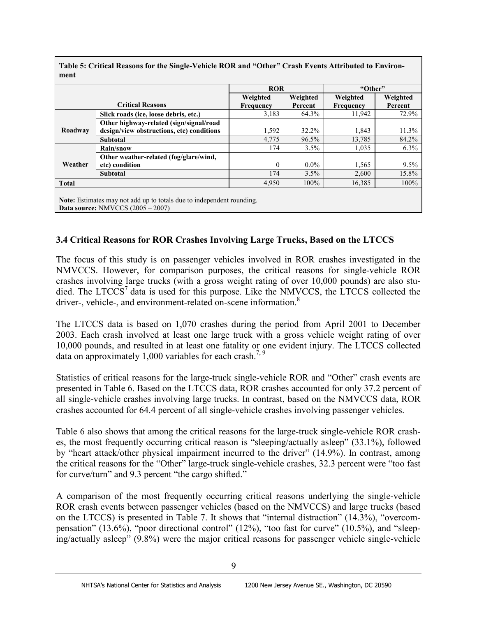|              |                                                                       | <b>ROR</b> |          | "Other"   |          |
|--------------|-----------------------------------------------------------------------|------------|----------|-----------|----------|
|              |                                                                       | Weighted   | Weighted | Weighted  | Weighted |
|              | <b>Critical Reasons</b>                                               | Frequency  | Percent  | Frequency | Percent  |
|              | Slick roads (ice, loose debris, etc.)                                 | 3,183      | 64.3%    | 11,942    | 72.9%    |
|              | Other highway-related (sign/signal/road                               |            |          |           |          |
| Roadway      | design/view obstructions, etc) conditions                             | 1,592      | 32.2%    | 1,843     | 11.3%    |
|              | <b>Subtotal</b>                                                       | 4,775      | 96.5%    | 13,785    | 84.2%    |
|              | Rain/snow                                                             | 174        | 3.5%     | 1,035     | 6.3%     |
|              | Other weather-related (fog/glare/wind,                                |            |          |           |          |
| Weather      | etc) condition                                                        | $\Omega$   | $0.0\%$  | 1,565     | 9.5%     |
|              | <b>Subtotal</b>                                                       | 174        | 3.5%     | 2,600     | 15.8%    |
| <b>Total</b> |                                                                       | 4,950      | 100%     | 16,385    | 100%     |
|              | Note: Estimates may not add up to totals due to independent rounding. |            |          |           |          |

**Table 5: Critical Reasons for the Single-Vehicle ROR and "Other" Crash Events Attributed to Environ-**

## **3.4 Critical Reasons for ROR Crashes Involving Large Trucks, Based on the LTCCS**

The focus of this study is on passenger vehicles involved in ROR crashes investigated in the NMVCCS. However, for comparison purposes, the critical reasons for single-vehicle ROR crashes involving large trucks (with a gross weight rating of over 10,000 pounds) are also studied. The  $LTCCS<sup>7</sup>$  data is used for this purpose. Like the NMVCCS, the LTCCS collected the driver-, vehicle-, and environment-related on-scene information.<sup>8</sup>

The LTCCS data is based on 1,070 crashes during the period from April 2001 to December 2003. Each crash involved at least one large truck with a gross vehicle weight rating of over 10,000 pounds, and resulted in at least one fatality or one evident injury. The LTCCS collected data on approximately 1,000 variables for each crash.<sup>7, 9</sup>

Statistics of critical reasons for the large-truck single-vehicle ROR and "Other" crash events are presented in Table 6. Based on the LTCCS data, ROR crashes accounted for only 37.2 percent of all single-vehicle crashes involving large trucks. In contrast, based on the NMVCCS data, ROR crashes accounted for 64.4 percent of all single-vehicle crashes involving passenger vehicles.

Table 6 also shows that among the critical reasons for the large-truck single-vehicle ROR crashes, the most frequently occurring critical reason is "sleeping/actually asleep" (33.1%), followed by "heart attack/other physical impairment incurred to the driver" (14.9%). In contrast, among the critical reasons for the "Other" large-truck single-vehicle crashes, 32.3 percent were "too fast for curve/turn" and 9.3 percent "the cargo shifted."

A comparison of the most frequently occurring critical reasons underlying the single-vehicle ROR crash events between passenger vehicles (based on the NMVCCS) and large trucks (based on the LTCCS) is presented in Table 7. It shows that "internal distraction" (14.3%), "overcompensation" (13.6%), "poor directional control" (12%), "too fast for curve" (10.5%), and "sleeping/actually asleep" (9.8%) were the major critical reasons for passenger vehicle single-vehicle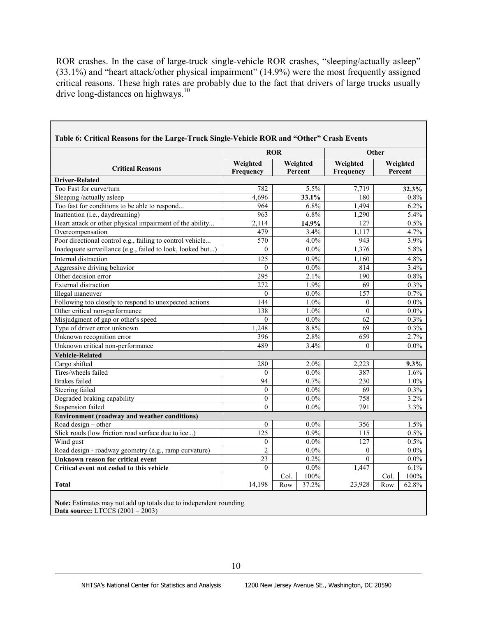ROR crashes. In the case of large-truck single-vehicle ROR crashes, "sleeping/actually asleep" (33.1%) and "heart attack/other physical impairment" (14.9%) were the most frequently assigned critical reasons. These high rates are probably due to the fact that drivers of large trucks usually drive long-distances on highways.<sup>10</sup>

|                                                            | <b>ROR</b>            |                     | Other                 |      |                     |
|------------------------------------------------------------|-----------------------|---------------------|-----------------------|------|---------------------|
| <b>Critical Reasons</b>                                    | Weighted<br>Frequency | Weighted<br>Percent | Weighted<br>Frequency |      | Weighted<br>Percent |
| <b>Driver-Related</b>                                      |                       |                     |                       |      |                     |
| Too Fast for curve/turn                                    | 782                   | $5.5\%$             | 7,719                 |      | 32.3%               |
| Sleeping /actually asleep                                  | 4,696                 | 33.1%               | 180                   |      | 0.8%                |
| Too fast for conditions to be able to respond              | 964                   | 6.8%                | 1,494                 |      | 6.2%                |
| Inattention (i.e., daydreaming)                            | 963                   | 6.8%                | 1,290                 |      | 5.4%                |
| Heart attack or other physical impairment of the ability   | 2,114                 | 14.9%               | 127                   |      | 0.5%                |
| Overcompensation                                           | 479                   | 3.4%                | 1,117                 |      | 4.7%                |
| Poor directional control e.g., failing to control vehicle. | 570                   | 4.0%                | 943                   |      | 3.9%                |
| Inadequate surveillance (e.g., failed to look, looked but) | $\theta$              | $0.0\%$             | 1,376                 |      | 5.8%                |
| Internal distraction                                       | 125                   | 0.9%                | 1,160                 |      | 4.8%                |
| Aggressive driving behavior                                | $\theta$              | $0.0\%$             | 814                   |      | 3.4%                |
| Other decision error                                       | 295                   | 2.1%                | 190                   |      | $0.8\%$             |
| <b>External distraction</b>                                | $\overline{272}$      | 1.9%                | $\overline{69}$       |      | 0.3%                |
| Illegal maneuver                                           | $\theta$              | $0.0\%$             | 157                   |      | 0.7%                |
| Following too closely to respond to unexpected actions     | 144                   | 1.0%                | $\theta$              |      | $0.0\%$             |
| Other critical non-performance                             | 138                   | 1.0%                | $\theta$              |      | $0.0\%$             |
| Misjudgment of gap or other's speed                        | $\theta$              | $0.0\%$             | 62                    |      | 0.3%                |
| Type of driver error unknown                               | 1,248                 | 8.8%                | $\overline{69}$       |      | 0.3%                |
| Unknown recognition error                                  | 396                   | 2.8%                | 659                   |      | 2.7%                |
| Unknown critical non-performance                           | 489                   | 3.4%                | $\theta$              |      | $0.0\%$             |
| <b>Vehicle-Related</b>                                     |                       |                     |                       |      |                     |
| Cargo shifted                                              | 280                   | 2.0%                | 2,223                 |      | $9.3\%$             |
| Tires/wheels failed                                        | $\theta$              | $0.0\%$             | 387                   |      | 1.6%                |
| <b>Brakes</b> failed                                       | $\overline{94}$       | 0.7%                | 230                   |      | 1.0%                |
| <b>Steering failed</b>                                     | $\overline{0}$        | $0.0\%$             | $\overline{69}$       |      | 0.3%                |
| Degraded braking capability                                | $\theta$              | $0.0\%$             | 758                   |      | 3.2%                |
| Suspension failed                                          | $\mathbf{0}$          | $0.0\%$             | 791                   |      | 3.3%                |
| <b>Environment (roadway and weather conditions)</b>        |                       |                     |                       |      |                     |
| Road design $-$ other                                      | $\overline{0}$        | $0.0\%$             | 356                   |      | 1.5%                |
| Slick roads (low friction road surface due to ice)         | 125                   | 0.9%                | 115                   |      | 0.5%                |
| Wind gust                                                  | $\overline{0}$        | $0.0\%$             | 127                   |      | 0.5%                |
| Road design - roadway geometry (e.g., ramp curvature)      | $\overline{c}$        | $0.0\%$             | $\boldsymbol{0}$      |      | $0.0\%$             |
| <b>Unknown reason for critical event</b>                   | $\overline{23}$       | 0.2%                | $\overline{0}$        |      | $0.0\%$             |
| Critical event not coded to this vehicle                   | $\theta$              | $0.0\%$             | 1,447                 |      | 6.1%                |
|                                                            |                       | 100%<br>Col.        |                       | Col. | 100%                |
| <b>Total</b>                                               | 14,198                | Row<br>37.2%        | 23,928                | Row  | 62.8%               |

**Note:** Estimates may not add up totals due to independent rounding. **Data source:** LTCCS (2001 – 2003)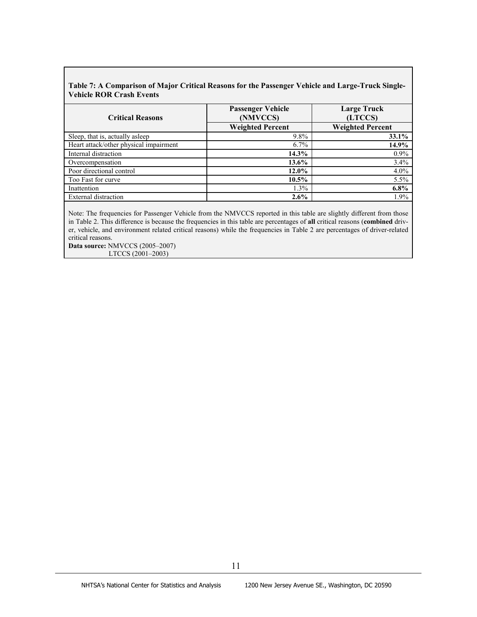#### **Table 7: A Comparison of Major Critical Reasons for the Passenger Vehicle and Large-Truck Single-Vehicle ROR Crash Events**

| <b>Critical Reasons</b>                | <b>Passenger Vehicle</b><br>(NMVCCS) | <b>Large Truck</b><br>(LTCCS) |
|----------------------------------------|--------------------------------------|-------------------------------|
|                                        | <b>Weighted Percent</b>              | <b>Weighted Percent</b>       |
| Sleep, that is, actually asleep        | $9.8\%$                              | $33.1\%$                      |
| Heart attack/other physical impairment | $6.7\%$                              | 14.9%                         |
| Internal distraction                   | $14.3\%$                             | $0.9\%$                       |
| Overcompensation                       | 13.6%                                | 3.4%                          |
| Poor directional control               | $12.0\%$                             | $4.0\%$                       |
| Too Fast for curve                     | $10.5\%$                             | 5.5%                          |
| Inattention                            | 1.3%                                 | $6.8\%$                       |
| External distraction                   | 2.6%                                 | 1.9%                          |

Note: The frequencies for Passenger Vehicle from the NMVCCS reported in this table are slightly different from those in Table 2. This difference is because the frequencies in this table are percentages of **all** critical reasons (**combined** driver, vehicle, and environment related critical reasons) while the frequencies in Table 2 are percentages of driver-related critical reasons.

**Data source:** NMVCCS (2005–2007) LTCCS (2001–2003)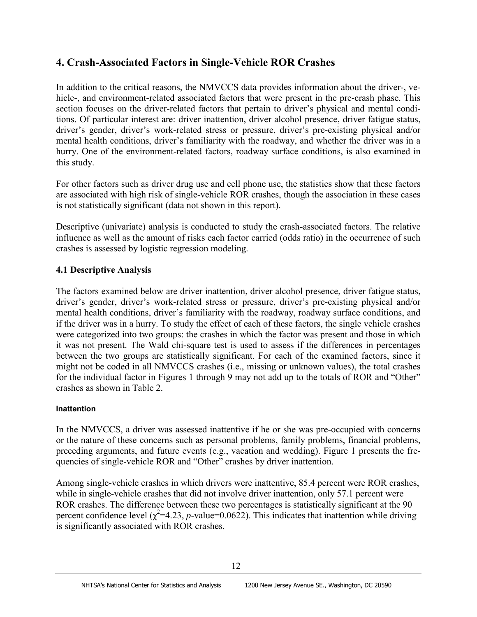# **4. Crash-Associated Factors in Single-Vehicle ROR Crashes**

In addition to the critical reasons, the NMVCCS data provides information about the driver-, vehicle-, and environment-related associated factors that were present in the pre-crash phase. This section focuses on the driver-related factors that pertain to driver's physical and mental conditions. Of particular interest are: driver inattention, driver alcohol presence, driver fatigue status, driver's gender, driver's work-related stress or pressure, driver's pre-existing physical and/or mental health conditions, driver's familiarity with the roadway, and whether the driver was in a hurry. One of the environment-related factors, roadway surface conditions, is also examined in this study.

For other factors such as driver drug use and cell phone use, the statistics show that these factors are associated with high risk of single-vehicle ROR crashes, though the association in these cases is not statistically significant (data not shown in this report).

Descriptive (univariate) analysis is conducted to study the crash-associated factors. The relative influence as well as the amount of risks each factor carried (odds ratio) in the occurrence of such crashes is assessed by logistic regression modeling.

## **4.1 Descriptive Analysis**

The factors examined below are driver inattention, driver alcohol presence, driver fatigue status, driver's gender, driver's work-related stress or pressure, driver's pre-existing physical and/or mental health conditions, driver's familiarity with the roadway, roadway surface conditions, and if the driver was in a hurry. To study the effect of each of these factors, the single vehicle crashes were categorized into two groups: the crashes in which the factor was present and those in which it was not present. The Wald chi-square test is used to assess if the differences in percentages between the two groups are statistically significant. For each of the examined factors, since it might not be coded in all NMVCCS crashes (i.e., missing or unknown values), the total crashes for the individual factor in Figures 1 through 9 may not add up to the totals of ROR and "Other" crashes as shown in Table 2.

## **Inattention**

In the NMVCCS, a driver was assessed inattentive if he or she was pre-occupied with concerns or the nature of these concerns such as personal problems, family problems, financial problems, preceding arguments, and future events (e.g., vacation and wedding). Figure 1 presents the frequencies of single-vehicle ROR and "Other" crashes by driver inattention.

Among single-vehicle crashes in which drivers were inattentive, 85.4 percent were ROR crashes, while in single-vehicle crashes that did not involve driver inattention, only 57.1 percent were ROR crashes. The difference between these two percentages is statistically significant at the 90 percent confidence level  $(\chi^2=4.23, p$ -value=0.0622). This indicates that inattention while driving is significantly associated with ROR crashes.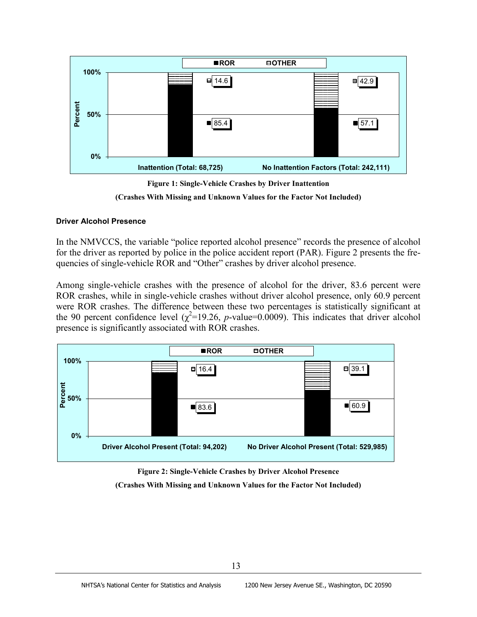



**(Crashes With Missing and Unknown Values for the Factor Not Included)**

#### **Driver Alcohol Presence**

In the NMVCCS, the variable "police reported alcohol presence" records the presence of alcohol for the driver as reported by police in the police accident report (PAR). Figure 2 presents the frequencies of single-vehicle ROR and "Other" crashes by driver alcohol presence.

Among single-vehicle crashes with the presence of alcohol for the driver, 83.6 percent were ROR crashes, while in single-vehicle crashes without driver alcohol presence, only 60.9 percent were ROR crashes. The difference between these two percentages is statistically significant at the 90 percent confidence level  $(\chi^2=19.26, p$ -value=0.0009). This indicates that driver alcohol presence is significantly associated with ROR crashes.



**Figure 2: Single-Vehicle Crashes by Driver Alcohol Presence (Crashes With Missing and Unknown Values for the Factor Not Included)**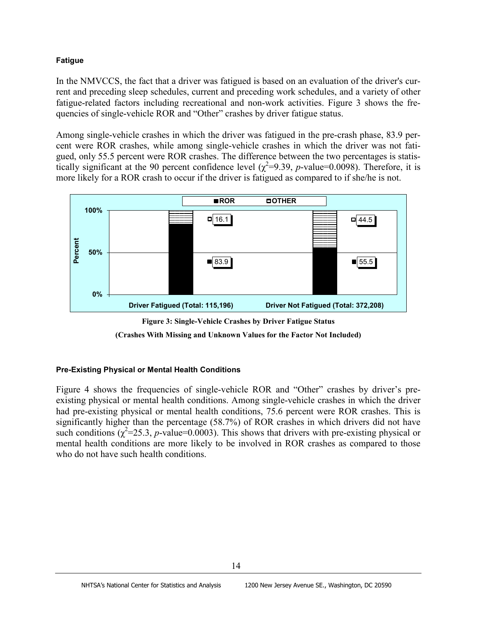#### **Fatigue**

In the NMVCCS, the fact that a driver was fatigued is based on an evaluation of the driver's current and preceding sleep schedules, current and preceding work schedules, and a variety of other fatigue-related factors including recreational and non-work activities. Figure 3 shows the frequencies of single-vehicle ROR and "Other" crashes by driver fatigue status.

Among single-vehicle crashes in which the driver was fatigued in the pre-crash phase, 83.9 percent were ROR crashes, while among single-vehicle crashes in which the driver was not fatigued, only 55.5 percent were ROR crashes. The difference between the two percentages is statistically significant at the 90 percent confidence level  $(\chi^2=9.39, p$ -value=0.0098). Therefore, it is more likely for a ROR crash to occur if the driver is fatigued as compared to if she/he is not.







#### **Pre-Existing Physical or Mental Health Conditions**

Figure 4 shows the frequencies of single-vehicle ROR and "Other" crashes by driver's preexisting physical or mental health conditions. Among single-vehicle crashes in which the driver had pre-existing physical or mental health conditions, 75.6 percent were ROR crashes. This is significantly higher than the percentage (58.7%) of ROR crashes in which drivers did not have such conditions  $(\chi^2 = 25.3, p$ -value=0.0003). This shows that drivers with pre-existing physical or mental health conditions are more likely to be involved in ROR crashes as compared to those who do not have such health conditions.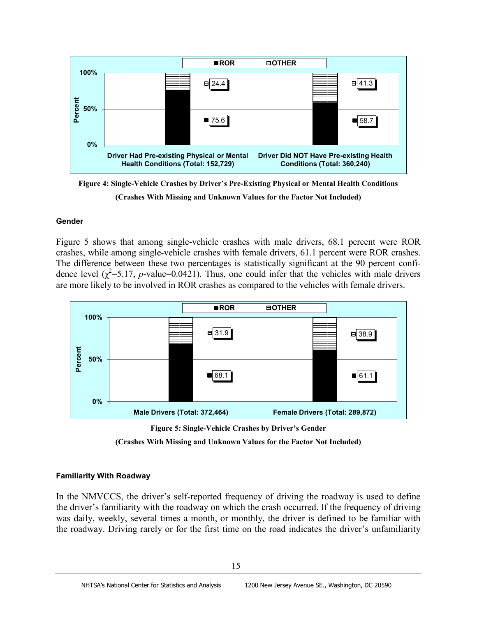

**Figure 4: Single-Vehicle Crashes by Driver's Pre-Existing Physical or Mental Health Conditions (Crashes With Missing and Unknown Values for the Factor Not Included)**

#### **Gender**

Figure 5 shows that among single-vehicle crashes with male drivers, 68.1 percent were ROR crashes, while among single-vehicle crashes with female drivers, 61.1 percent were ROR crashes. The difference between these two percentages is statistically significant at the 90 percent confidence level  $(\chi^2 = 5.17, p$ -value=0.0421). Thus, one could infer that the vehicles with male drivers are more likely to be involved in ROR crashes as compared to the vehicles with female drivers.



**Figure 5: Single-Vehicle Crashes by Driver's Gender**

**(Crashes With Missing and Unknown Values for the Factor Not Included)**

#### **Familiarity With Roadway**

In the NMVCCS, the driver's self-reported frequency of driving the roadway is used to define the driver's familiarity with the roadway on which the crash occurred. If the frequency of driving was daily, weekly, several times a month, or monthly, the driver is defined to be familiar with the roadway. Driving rarely or for the first time on the road indicates the driver's unfamiliarity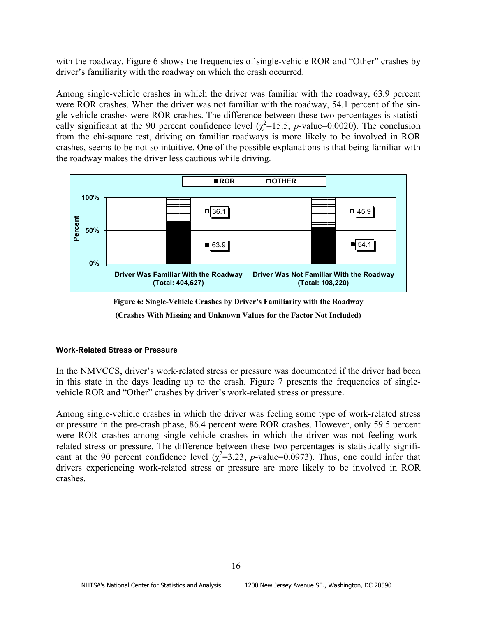with the roadway. Figure 6 shows the frequencies of single-vehicle ROR and "Other" crashes by driver's familiarity with the roadway on which the crash occurred.

Among single-vehicle crashes in which the driver was familiar with the roadway, 63.9 percent were ROR crashes. When the driver was not familiar with the roadway, 54.1 percent of the single-vehicle crashes were ROR crashes. The difference between these two percentages is statistically significant at the 90 percent confidence level ( $\chi^2$ =15.5, *p*-value=0.0020). The conclusion from the chi-square test, driving on familiar roadways is more likely to be involved in ROR crashes, seems to be not so intuitive. One of the possible explanations is that being familiar with the roadway makes the driver less cautious while driving.



**Figure 6: Single-Vehicle Crashes by Driver's Familiarity with the Roadway**

**(Crashes With Missing and Unknown Values for the Factor Not Included)**

#### **Work-Related Stress or Pressure**

In the NMVCCS, driver's work-related stress or pressure was documented if the driver had been in this state in the days leading up to the crash. Figure 7 presents the frequencies of singlevehicle ROR and "Other" crashes by driver's work-related stress or pressure.

Among single-vehicle crashes in which the driver was feeling some type of work-related stress or pressure in the pre-crash phase, 86.4 percent were ROR crashes. However, only 59.5 percent were ROR crashes among single-vehicle crashes in which the driver was not feeling workrelated stress or pressure. The difference between these two percentages is statistically significant at the 90 percent confidence level  $(\chi^2=3.23, p$ -value=0.0973). Thus, one could infer that drivers experiencing work-related stress or pressure are more likely to be involved in ROR crashes.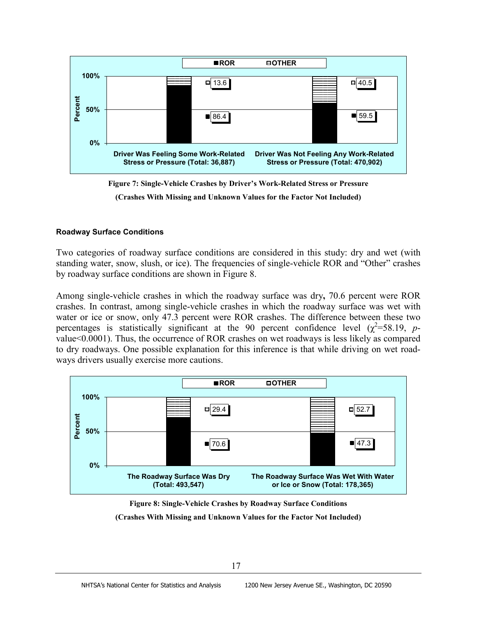

**Figure 7: Single-Vehicle Crashes by Driver's Work-Related Stress or Pressure**

**(Crashes With Missing and Unknown Values for the Factor Not Included)**

#### **Roadway Surface Conditions**

Two categories of roadway surface conditions are considered in this study: dry and wet (with standing water, snow, slush, or ice). The frequencies of single-vehicle ROR and "Other" crashes by roadway surface conditions are shown in Figure 8.

Among single-vehicle crashes in which the roadway surface was dry**,** 70.6 percent were ROR crashes. In contrast, among single-vehicle crashes in which the roadway surface was wet with water or ice or snow, only 47.3 percent were ROR crashes. The difference between these two percentages is statistically significant at the 90 percent confidence level  $(\chi^2=58.19, p$ value<0.0001). Thus, the occurrence of ROR crashes on wet roadways is less likely as compared to dry roadways. One possible explanation for this inference is that while driving on wet roadways drivers usually exercise more cautions.



**Figure 8: Single-Vehicle Crashes by Roadway Surface Conditions**

**(Crashes With Missing and Unknown Values for the Factor Not Included)**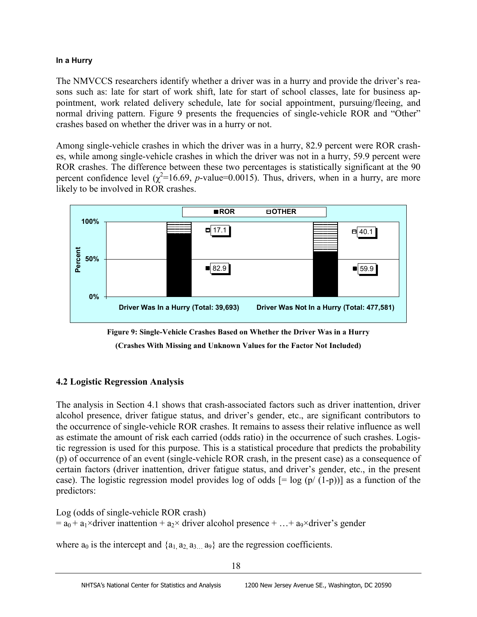## **In a Hurry**

The NMVCCS researchers identify whether a driver was in a hurry and provide the driver's reasons such as: late for start of work shift, late for start of school classes, late for business appointment, work related delivery schedule, late for social appointment, pursuing/fleeing, and normal driving pattern. Figure 9 presents the frequencies of single-vehicle ROR and "Other" crashes based on whether the driver was in a hurry or not.

Among single-vehicle crashes in which the driver was in a hurry, 82.9 percent were ROR crashes, while among single-vehicle crashes in which the driver was not in a hurry, 59.9 percent were ROR crashes. The difference between these two percentages is statistically significant at the 90 percent confidence level  $(\chi^2=16.69, p$ -value=0.0015). Thus, drivers, when in a hurry, are more likely to be involved in ROR crashes.



**Figure 9: Single-Vehicle Crashes Based on Whether the Driver Was in a Hurry**

**(Crashes With Missing and Unknown Values for the Factor Not Included)**

# **4.2 Logistic Regression Analysis**

The analysis in Section 4.1 shows that crash-associated factors such as driver inattention, driver alcohol presence, driver fatigue status, and driver's gender, etc., are significant contributors to the occurrence of single-vehicle ROR crashes. It remains to assess their relative influence as well as estimate the amount of risk each carried (odds ratio) in the occurrence of such crashes. Logistic regression is used for this purpose. This is a statistical procedure that predicts the probability (p) of occurrence of an event (single-vehicle ROR crash, in the present case) as a consequence of certain factors (driver inattention, driver fatigue status, and driver's gender, etc., in the present case). The logistic regression model provides log of odds  $[= \log (p/(1-p))]$  as a function of the predictors:

Log (odds of single-vehicle ROR crash)  $=$  a<sub>0</sub> + a<sub>1</sub>×driver inattention + a<sub>2</sub>× driver alcohol presence + … + a<sub>9</sub>×driver's gender

where  $a_0$  is the intercept and  $\{a_1, a_2, a_3, a_9\}$  are the regression coefficients.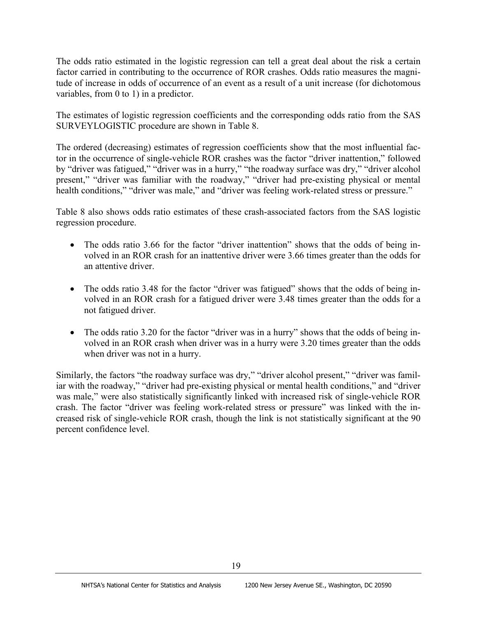The odds ratio estimated in the logistic regression can tell a great deal about the risk a certain factor carried in contributing to the occurrence of ROR crashes. Odds ratio measures the magnitude of increase in odds of occurrence of an event as a result of a unit increase (for dichotomous variables, from 0 to 1) in a predictor.

The estimates of logistic regression coefficients and the corresponding odds ratio from the SAS SURVEYLOGISTIC procedure are shown in Table 8.

The ordered (decreasing) estimates of regression coefficients show that the most influential factor in the occurrence of single-vehicle ROR crashes was the factor "driver inattention," followed by "driver was fatigued," "driver was in a hurry," "the roadway surface was dry," "driver alcohol present," "driver was familiar with the roadway," "driver had pre-existing physical or mental health conditions," "driver was male," and "driver was feeling work-related stress or pressure."

Table 8 also shows odds ratio estimates of these crash-associated factors from the SAS logistic regression procedure.

- The odds ratio 3.66 for the factor "driver inattention" shows that the odds of being involved in an ROR crash for an inattentive driver were 3.66 times greater than the odds for an attentive driver.
- The odds ratio 3.48 for the factor "driver was fatigued" shows that the odds of being involved in an ROR crash for a fatigued driver were 3.48 times greater than the odds for a not fatigued driver.
- The odds ratio 3.20 for the factor "driver was in a hurry" shows that the odds of being involved in an ROR crash when driver was in a hurry were 3.20 times greater than the odds when driver was not in a hurry.

Similarly, the factors "the roadway surface was dry," "driver alcohol present," "driver was familiar with the roadway," "driver had pre-existing physical or mental health conditions," and "driver was male," were also statistically significantly linked with increased risk of single-vehicle ROR crash. The factor "driver was feeling work-related stress or pressure" was linked with the increased risk of single-vehicle ROR crash, though the link is not statistically significant at the 90 percent confidence level.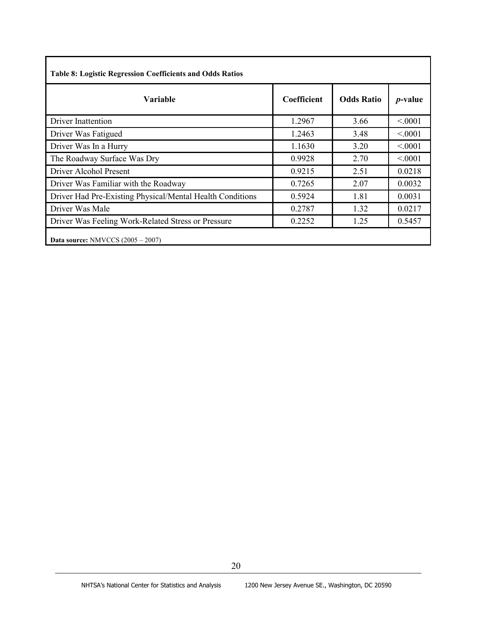| Variable                                                  | Coefficient | <b>Odds Ratio</b> | <i>p</i> -value |
|-----------------------------------------------------------|-------------|-------------------|-----------------|
| Driver Inattention                                        | 1.2967      | 3.66              | < 0001          |
| Driver Was Fatigued                                       | 1.2463      | 3.48              | < 0001          |
| Driver Was In a Hurry                                     | 1.1630      | 3.20              | < 0.001         |
| The Roadway Surface Was Dry                               | 0.9928      | 2.70              | < 0001          |
| Driver Alcohol Present                                    | 0.9215      | 2.51              | 0.0218          |
| Driver Was Familiar with the Roadway                      | 0.7265      | 2.07              | 0.0032          |
| Driver Had Pre-Existing Physical/Mental Health Conditions | 0.5924      | 1.81              | 0.0031          |
| Driver Was Male                                           | 0.2787      | 1.32              | 0.0217          |
| Driver Was Feeling Work-Related Stress or Pressure        | 0.2252      | 1.25              | 0.5457          |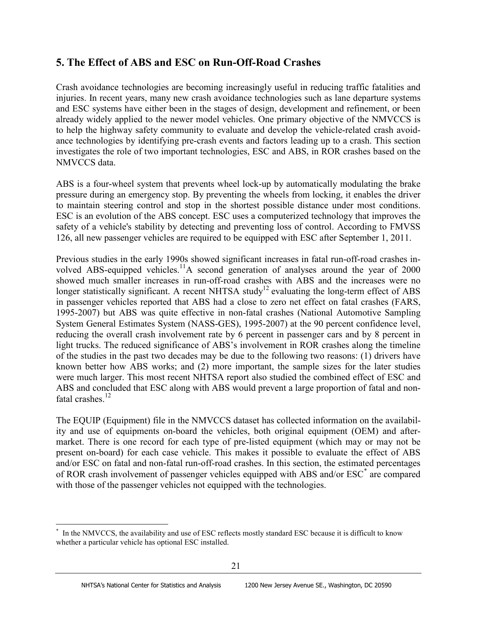# **5. The Effect of ABS and ESC on Run-Off-Road Crashes**

Crash avoidance technologies are becoming increasingly useful in reducing traffic fatalities and injuries. In recent years, many new crash avoidance technologies such as lane departure systems and ESC systems have either been in the stages of design, development and refinement, or been already widely applied to the newer model vehicles. One primary objective of the NMVCCS is to help the highway safety community to evaluate and develop the vehicle-related crash avoidance technologies by identifying pre-crash events and factors leading up to a crash. This section investigates the role of two important technologies, ESC and ABS, in ROR crashes based on the NMVCCS data.

ABS is a four-wheel system that prevents wheel lock-up by automatically modulating the brake pressure during an emergency stop. By preventing the wheels from locking, it enables the driver to maintain steering control and stop in the shortest possible distance under most conditions. ESC is an evolution of the ABS concept. ESC uses a computerized technology that improves the safety of a vehicle's stability by detecting and preventing loss of control. According to FMVSS 126, all new passenger vehicles are required to be equipped with ESC after September 1, 2011.

Previous studies in the early 1990s showed significant increases in fatal run-off-road crashes involved ABS-equipped vehicles.<sup>11</sup>A second generation of analyses around the year of 2000 showed much smaller increases in run-off-road crashes with ABS and the increases were no longer statistically significant. A recent NHTSA study<sup>12</sup> evaluating the long-term effect of ABS in passenger vehicles reported that ABS had a close to zero net effect on fatal crashes (FARS, 1995-2007) but ABS was quite effective in non-fatal crashes (National Automotive Sampling System General Estimates System (NASS-GES), 1995-2007) at the 90 percent confidence level, reducing the overall crash involvement rate by 6 percent in passenger cars and by 8 percent in light trucks. The reduced significance of ABS's involvement in ROR crashes along the timeline of the studies in the past two decades may be due to the following two reasons: (1) drivers have known better how ABS works; and (2) more important, the sample sizes for the later studies were much larger. This most recent NHTSA report also studied the combined effect of ESC and ABS and concluded that ESC along with ABS would prevent a large proportion of fatal and nonfatal crashes.<sup>12</sup>

The EQUIP (Equipment) file in the NMVCCS dataset has collected information on the availability and use of equipments on-board the vehicles, both original equipment (OEM) and aftermarket. There is one record for each type of pre-listed equipment (which may or may not be present on-board) for each case vehicle. This makes it possible to evaluate the effect of ABS and/or ESC on fatal and non-fatal run-off-road crashes. In this section, the estimated percentages of ROR crash involvement of passenger vehicles equipped with ABS and/or ESC[\\*](#page-28-0) are compared with those of the passenger vehicles not equipped with the technologies.

<span id="page-28-0"></span> <sup>\*</sup> In the NMVCCS, the availability and use of ESC reflects mostly standard ESC because it is difficult to know whether a particular vehicle has optional ESC installed.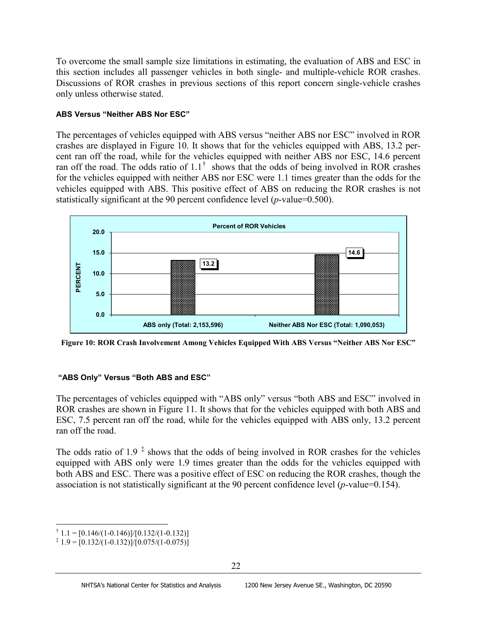To overcome the small sample size limitations in estimating, the evaluation of ABS and ESC in this section includes all passenger vehicles in both single- and multiple-vehicle ROR crashes. Discussions of ROR crashes in previous sections of this report concern single-vehicle crashes only unless otherwise stated.

#### **ABS Versus "Neither ABS Nor ESC"**

The percentages of vehicles equipped with ABS versus "neither ABS nor ESC" involved in ROR crashes are displayed in Figure 10. It shows that for the vehicles equipped with ABS, 13.2 percent ran off the road, while for the vehicles equipped with neither ABS nor ESC, 14.6 percent ran off the road. The odds ratio of  $1.1<sup>†</sup>$  $1.1<sup>†</sup>$  $1.1<sup>†</sup>$  shows that the odds of being involved in ROR crashes for the vehicles equipped with neither ABS nor ESC were 1.1 times greater than the odds for the vehicles equipped with ABS. This positive effect of ABS on reducing the ROR crashes is not statistically significant at the 90 percent confidence level (*p*-value=0.500).



**Figure 10: ROR Crash Involvement Among Vehicles Equipped With ABS Versus "Neither ABS Nor ESC"**

## **"ABS Only" Versus "Both ABS and ESC"**

The percentages of vehicles equipped with "ABS only" versus "both ABS and ESC" involved in ROR crashes are shown in Figure 11. It shows that for the vehicles equipped with both ABS and ESC, 7.5 percent ran off the road, while for the vehicles equipped with ABS only, 13.2 percent ran off the road.

The odds ratio of 1.9  $\text{\textdegree}$  shows that the odds of being involved in ROR crashes for the vehicles equipped with ABS only were 1.9 times greater than the odds for the vehicles equipped with both ABS and ESC. There was a positive effect of ESC on reducing the ROR crashes, though the association is not statistically significant at the 90 percent confidence level (*p*-value=0.154).

<span id="page-29-0"></span> $\dagger$  1.1 = [0.146/(1-0.146)]/[0.132/(1-0.132)]

<span id="page-29-1"></span> $\overline{a}$  1.9 = [0.132/(1-0.132)]/[0.075/(1-0.075)]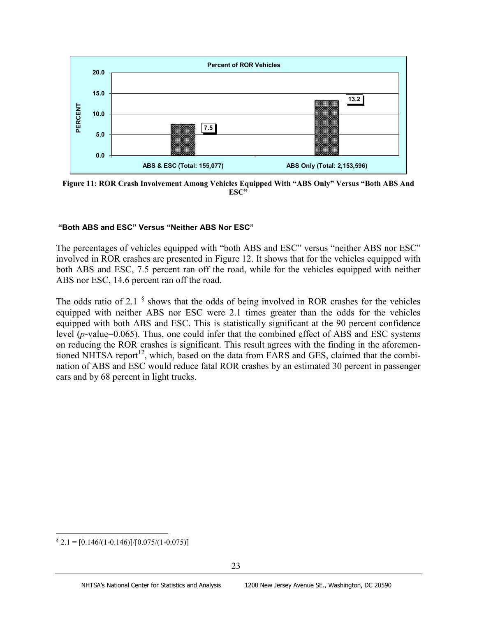

**Figure 11: ROR Crash Involvement Among Vehicles Equipped With "ABS Only" Versus "Both ABS And ESC"**

#### **"Both ABS and ESC" Versus "Neither ABS Nor ESC"**

The percentages of vehicles equipped with "both ABS and ESC" versus "neither ABS nor ESC" involved in ROR crashes are presented in Figure 12. It shows that for the vehicles equipped with both ABS and ESC, 7.5 percent ran off the road, while for the vehicles equipped with neither ABS nor ESC, 14.6 percent ran off the road.

The odds ratio of 2.1  $\frac{8}{3}$  shows that the odds of being involved in ROR crashes for the vehicles equipped with neither ABS nor ESC were 2.1 times greater than the odds for the vehicles equipped with both ABS and ESC. This is statistically significant at the 90 percent confidence level (*p*-value=0.065). Thus, one could infer that the combined effect of ABS and ESC systems on reducing the ROR crashes is significant. This result agrees with the finding in the aforementioned NHTSA report<sup>12</sup>, which, based on the data from FARS and GES, claimed that the combination of ABS and ESC would reduce fatal ROR crashes by an estimated 30 percent in passenger cars and by 68 percent in light trucks.

<span id="page-30-0"></span> $\frac{1}{2}$  2.1 = [0.146/(1-0.146)]/[0.075/(1-0.075)]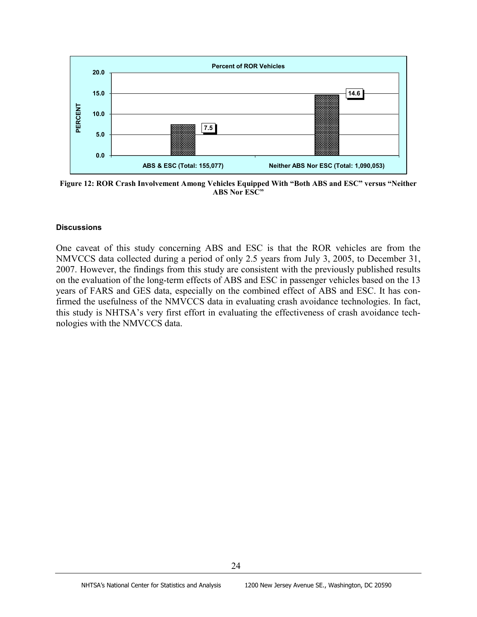

**Figure 12: ROR Crash Involvement Among Vehicles Equipped With "Both ABS and ESC" versus "Neither ABS Nor ESC"**

#### **Discussions**

One caveat of this study concerning ABS and ESC is that the ROR vehicles are from the NMVCCS data collected during a period of only 2.5 years from July 3, 2005, to December 31, 2007. However, the findings from this study are consistent with the previously published results on the evaluation of the long-term effects of ABS and ESC in passenger vehicles based on the 13 years of FARS and GES data, especially on the combined effect of ABS and ESC. It has confirmed the usefulness of the NMVCCS data in evaluating crash avoidance technologies. In fact, this study is NHTSA's very first effort in evaluating the effectiveness of crash avoidance technologies with the NMVCCS data.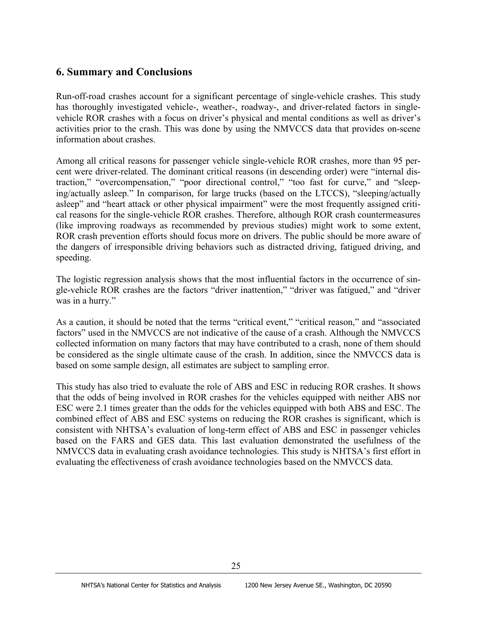# **6. Summary and Conclusions**

Run-off-road crashes account for a significant percentage of single-vehicle crashes. This study has thoroughly investigated vehicle-, weather-, roadway-, and driver-related factors in singlevehicle ROR crashes with a focus on driver's physical and mental conditions as well as driver's activities prior to the crash. This was done by using the NMVCCS data that provides on-scene information about crashes.

Among all critical reasons for passenger vehicle single-vehicle ROR crashes, more than 95 percent were driver-related. The dominant critical reasons (in descending order) were "internal distraction," "overcompensation," "poor directional control," "too fast for curve," and "sleeping/actually asleep." In comparison, for large trucks (based on the LTCCS), "sleeping/actually asleep" and "heart attack or other physical impairment" were the most frequently assigned critical reasons for the single-vehicle ROR crashes. Therefore, although ROR crash countermeasures (like improving roadways as recommended by previous studies) might work to some extent, ROR crash prevention efforts should focus more on drivers. The public should be more aware of the dangers of irresponsible driving behaviors such as distracted driving, fatigued driving, and speeding.

The logistic regression analysis shows that the most influential factors in the occurrence of single-vehicle ROR crashes are the factors "driver inattention," "driver was fatigued," and "driver was in a hurry."

As a caution, it should be noted that the terms "critical event," "critical reason," and "associated factors" used in the NMVCCS are not indicative of the cause of a crash. Although the NMVCCS collected information on many factors that may have contributed to a crash, none of them should be considered as the single ultimate cause of the crash. In addition, since the NMVCCS data is based on some sample design, all estimates are subject to sampling error.

This study has also tried to evaluate the role of ABS and ESC in reducing ROR crashes. It shows that the odds of being involved in ROR crashes for the vehicles equipped with neither ABS nor ESC were 2.1 times greater than the odds for the vehicles equipped with both ABS and ESC. The combined effect of ABS and ESC systems on reducing the ROR crashes is significant, which is consistent with NHTSA's evaluation of long-term effect of ABS and ESC in passenger vehicles based on the FARS and GES data. This last evaluation demonstrated the usefulness of the NMVCCS data in evaluating crash avoidance technologies. This study is NHTSA's first effort in evaluating the effectiveness of crash avoidance technologies based on the NMVCCS data.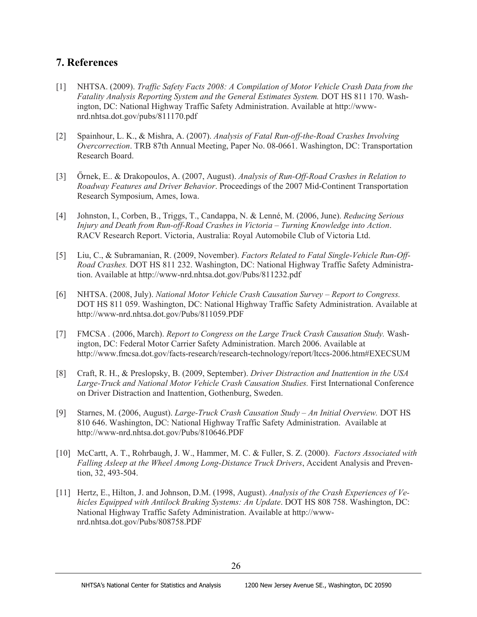## **7. References**

- [1] NHTSA. (2009). *Traffic Safety Facts 2008: A Compilation of Motor Vehicle Crash Data from the Fatality Analysis Reporting System and the General Estimates System.* DOT HS 811 170. Washington, DC: National Highway Traffic Safety Administration. Available at http://wwwnrd.nhtsa.dot.gov/pubs/811170.pdf
- [2] Spainhour, L. K., & Mishra, A. (2007). *Analysis of Fatal Run-off-the-Road Crashes Involving Overcorrection*. TRB 87th Annual Meeting, Paper No. 08-0661. Washington, DC: Transportation Research Board.
- [3] Őrnek, E.. & Drakopoulos, A. (2007, August). *Analysis of Run-Off-Road Crashes in Relation to Roadway Features and Driver Behavior*. Proceedings of the 2007 Mid-Continent Transportation Research Symposium, Ames, Iowa.
- [4] Johnston, I., Corben, B., Triggs, T., Candappa, N. & Lenné, M. (2006, June). *Reducing Serious Injury and Death from Run-off-Road Crashes in Victoria – Turning Knowledge into Action*. RACV Research Report. Victoria, Australia: Royal Automobile Club of Victoria Ltd.
- [5] Liu, C., & Subramanian, R. (2009, November). *Factors Related to Fatal Single-Vehicle Run-Off-Road Crashes.* DOT HS 811 232. Washington, DC: National Highway Traffic Safety Administration. Available at http://www-nrd.nhtsa.dot.gov/Pubs/811232.pdf
- [6] NHTSA. (2008, July). *National Motor Vehicle Crash Causation Survey – Report to Congress.* DOT HS 811 059. Washington, DC: National Highway Traffic Safety Administration. Available at http://www-nrd.nhtsa.dot.gov/Pubs/811059.PDF
- [7] FMCSA *.* (2006, March). *Report to Congress on the Large Truck Crash Causation Study.* Washington, DC: Federal Motor Carrier Safety Administration. March 2006. Available at http://www.fmcsa.dot.gov/facts-research/research-technology/report/ltccs-2006.htm#EXECSUM
- [8] Craft, R. H., & Preslopsky, B. (2009, September). *Driver Distraction and Inattention in the USA Large-Truck and National Motor Vehicle Crash Causation Studies.* First International Conference on Driver Distraction and Inattention, Gothenburg, Sweden.
- [9] Starnes, M. (2006, August). *Large-Truck Crash Causation Study – An Initial Overview.* DOT HS 810 646. Washington, DC: National Highway Traffic Safety Administration. Available at http://www-nrd.nhtsa.dot.gov/Pubs/810646.PDF
- [10] McCartt, A. T., Rohrbaugh, J. W., Hammer, M. C. & Fuller, S. Z. (2000). *Factors Associated with Falling Asleep at the Wheel Among Long-Distance Truck Drivers*, Accident Analysis and Prevention, 32, 493-504.
- [11] Hertz, E., Hilton, J. and Johnson, D.M. (1998, August). *Analysis of the Crash Experiences of Vehicles Equipped with Antilock Braking Systems: An Update*. DOT HS 808 758. Washington, DC: National Highway Traffic Safety Administration. Available at http://wwwnrd.nhtsa.dot.gov/Pubs/808758.PDF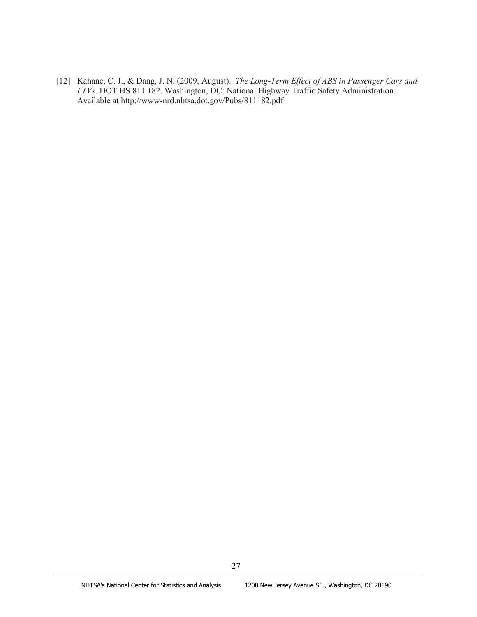[12] Kahane, C. J., & Dang, J. N. (2009, August). *The Long-Term Effect of ABS in Passenger Cars and LTVs*. DOT HS 811 182. Washington, DC: National Highway Traffic Safety Administration. Available at http://www-nrd.nhtsa.dot.gov/Pubs/811182.pdf